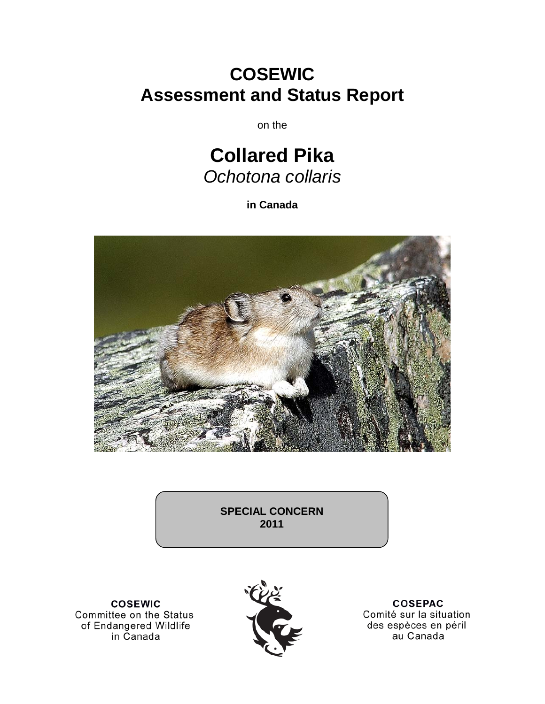# **COSEWIC Assessment and Status Report**

on the

# **Collared Pika** *Ochotona collaris*

**in Canada**



**SPECIAL CONCERN 2011**

**COSEWIC** Committee on the Status<br>of Endangered Wildlife in Canada



**COSEPAC** Comité sur la situation des espèces en péril au Canada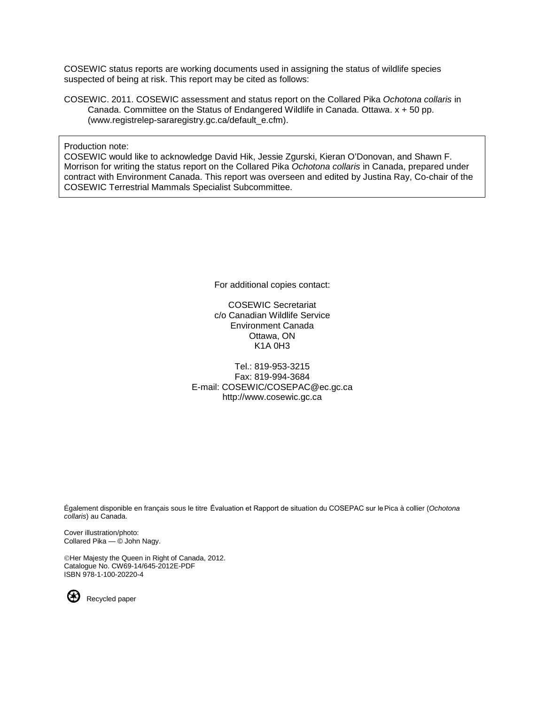COSEWIC status reports are working documents used in assigning the status of wildlife species suspected of being at risk. This report may be cited as follows:

COSEWIC. 2011. COSEWIC assessment and status report on the Collared Pika *Ochotona collaris* in Canada. Committee on the Status of Endangered Wildlife in Canada. Ottawa. x + 50 pp. (www.registrelep-sararegistry.gc.ca/default\_e.cfm).

Production note:

COSEWIC would like to acknowledge David Hik, Jessie Zgurski, Kieran O'Donovan, and Shawn F. Morrison for writing the status report on the Collared Pika *Ochotona collaris* in Canada, prepared under contract with Environment Canada. This report was overseen and edited by Justina Ray, Co-chair of the COSEWIC Terrestrial Mammals Specialist Subcommittee.

For additional copies contact:

COSEWIC Secretariat c/o Canadian Wildlife Service Environment Canada Ottawa, ON K1A 0H3

Tel.: 819-953-3215 Fax: 819-994-3684 E-mail: COSEWIC/COSEPAC@ec.gc.ca http://www.cosewic.gc.ca

Également disponible en français sous le titre Ếvaluation et Rapport de situation du COSEPAC sur lePica à collier (*Ochotona collaris*) au Canada.

Cover illustration/photo: Collared Pika — © John Nagy.

Her Majesty the Queen in Right of Canada, 2012. Catalogue No. CW69-14/645-2012E-PDF ISBN 978-1-100-20220-4

Recycled paper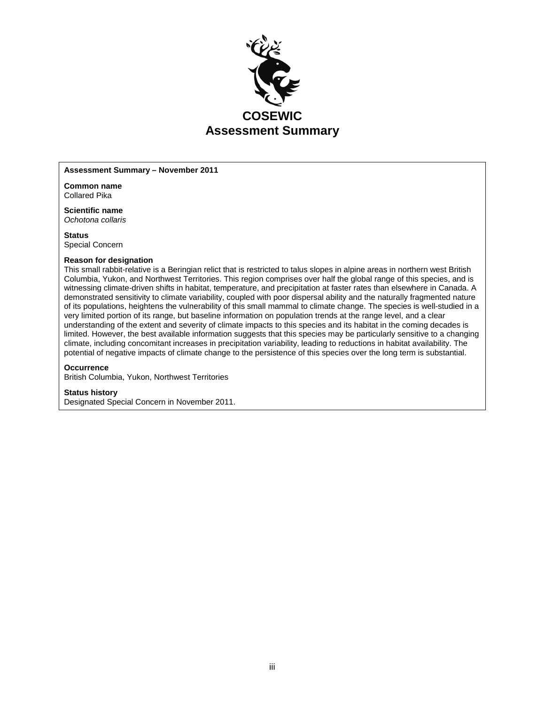

#### **Assessment Summary – November 2011**

**Common name** Collared Pika

**Scientific name** *Ochotona collaris*

**Status** Special Concern

#### **Reason for designation**

This small rabbit-relative is a Beringian relict that is restricted to talus slopes in alpine areas in northern west British Columbia, Yukon, and Northwest Territories. This region comprises over half the global range of this species, and is witnessing climate-driven shifts in habitat, temperature, and precipitation at faster rates than elsewhere in Canada. A demonstrated sensitivity to climate variability, coupled with poor dispersal ability and the naturally fragmented nature of its populations, heightens the vulnerability of this small mammal to climate change. The species is well-studied in a very limited portion of its range, but baseline information on population trends at the range level, and a clear understanding of the extent and severity of climate impacts to this species and its habitat in the coming decades is limited. However, the best available information suggests that this species may be particularly sensitive to a changing climate, including concomitant increases in precipitation variability, leading to reductions in habitat availability. The potential of negative impacts of climate change to the persistence of this species over the long term is substantial.

#### **Occurrence**

British Columbia, Yukon, Northwest Territories

#### **Status history**

Designated Special Concern in November 2011.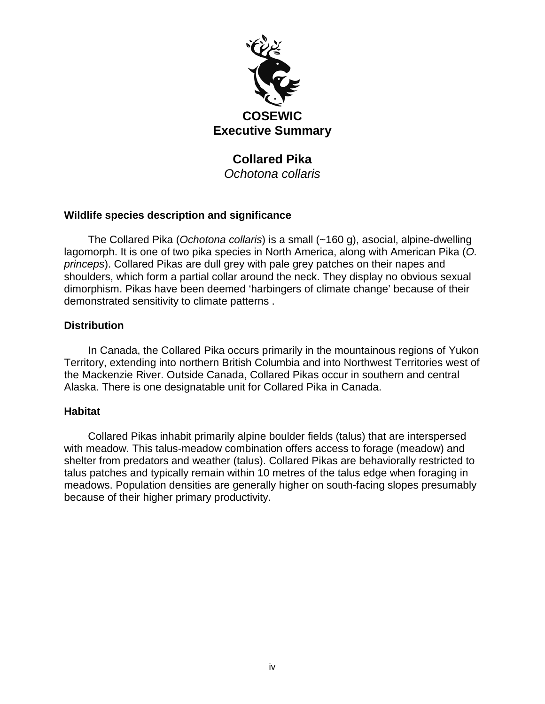

# **Collared Pika**

*Ochotona collaris*

# **Wildlife species description and significance**

The Collared Pika (*Ochotona collaris*) is a small (~160 g), asocial, alpine-dwelling lagomorph. It is one of two pika species in North America, along with American Pika (*O. princeps*). Collared Pikas are dull grey with pale grey patches on their napes and shoulders, which form a partial collar around the neck. They display no obvious sexual dimorphism. Pikas have been deemed 'harbingers of climate change' because of their demonstrated sensitivity to climate patterns .

# **Distribution**

In Canada, the Collared Pika occurs primarily in the mountainous regions of Yukon Territory, extending into northern British Columbia and into Northwest Territories west of the Mackenzie River. Outside Canada, Collared Pikas occur in southern and central Alaska. There is one designatable unit for Collared Pika in Canada.

# **Habitat**

Collared Pikas inhabit primarily alpine boulder fields (talus) that are interspersed with meadow. This talus-meadow combination offers access to forage (meadow) and shelter from predators and weather (talus). Collared Pikas are behaviorally restricted to talus patches and typically remain within 10 metres of the talus edge when foraging in meadows. Population densities are generally higher on south-facing slopes presumably because of their higher primary productivity.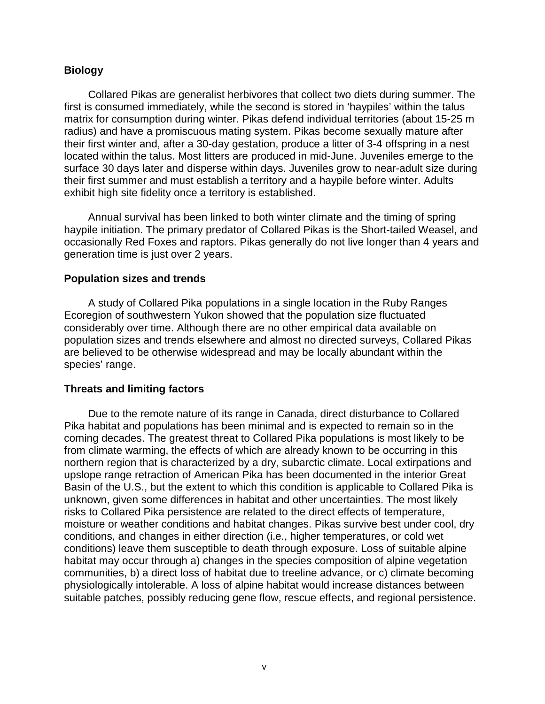## **Biology**

Collared Pikas are generalist herbivores that collect two diets during summer. The first is consumed immediately, while the second is stored in 'haypiles' within the talus matrix for consumption during winter. Pikas defend individual territories (about 15-25 m radius) and have a promiscuous mating system. Pikas become sexually mature after their first winter and, after a 30-day gestation, produce a litter of 3-4 offspring in a nest located within the talus. Most litters are produced in mid-June. Juveniles emerge to the surface 30 days later and disperse within days. Juveniles grow to near-adult size during their first summer and must establish a territory and a haypile before winter. Adults exhibit high site fidelity once a territory is established.

Annual survival has been linked to both winter climate and the timing of spring haypile initiation. The primary predator of Collared Pikas is the Short-tailed Weasel, and occasionally Red Foxes and raptors. Pikas generally do not live longer than 4 years and generation time is just over 2 years.

#### **Population sizes and trends**

A study of Collared Pika populations in a single location in the Ruby Ranges Ecoregion of southwestern Yukon showed that the population size fluctuated considerably over time. Although there are no other empirical data available on population sizes and trends elsewhere and almost no directed surveys, Collared Pikas are believed to be otherwise widespread and may be locally abundant within the species' range.

#### **Threats and limiting factors**

Due to the remote nature of its range in Canada, direct disturbance to Collared Pika habitat and populations has been minimal and is expected to remain so in the coming decades. The greatest threat to Collared Pika populations is most likely to be from climate warming, the effects of which are already known to be occurring in this northern region that is characterized by a dry, subarctic climate. Local extirpations and upslope range retraction of American Pika has been documented in the interior Great Basin of the U.S., but the extent to which this condition is applicable to Collared Pika is unknown, given some differences in habitat and other uncertainties. The most likely risks to Collared Pika persistence are related to the direct effects of temperature, moisture or weather conditions and habitat changes. Pikas survive best under cool, dry conditions, and changes in either direction (i.e., higher temperatures, or cold wet conditions) leave them susceptible to death through exposure. Loss of suitable alpine habitat may occur through a) changes in the species composition of alpine vegetation communities, b) a direct loss of habitat due to treeline advance, or c) climate becoming physiologically intolerable. A loss of alpine habitat would increase distances between suitable patches, possibly reducing gene flow, rescue effects, and regional persistence.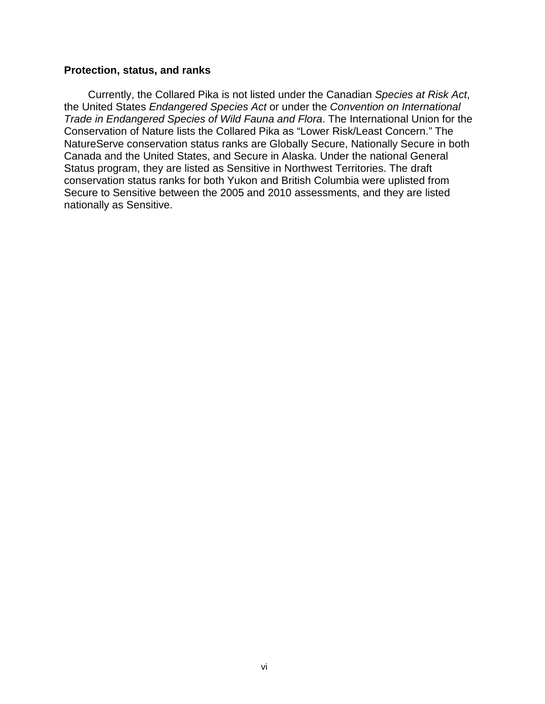#### **Protection, status, and ranks**

Currently, the Collared Pika is not listed under the Canadian *Species at Risk Act*, the United States *Endangered Species Act* or under the *Convention on International Trade in Endangered Species of Wild Fauna and Flora*. The International Union for the Conservation of Nature lists the Collared Pika as "Lower Risk/Least Concern." The NatureServe conservation status ranks are Globally Secure, Nationally Secure in both Canada and the United States, and Secure in Alaska. Under the national General Status program, they are listed as Sensitive in Northwest Territories. The draft conservation status ranks for both Yukon and British Columbia were uplisted from Secure to Sensitive between the 2005 and 2010 assessments, and they are listed nationally as Sensitive.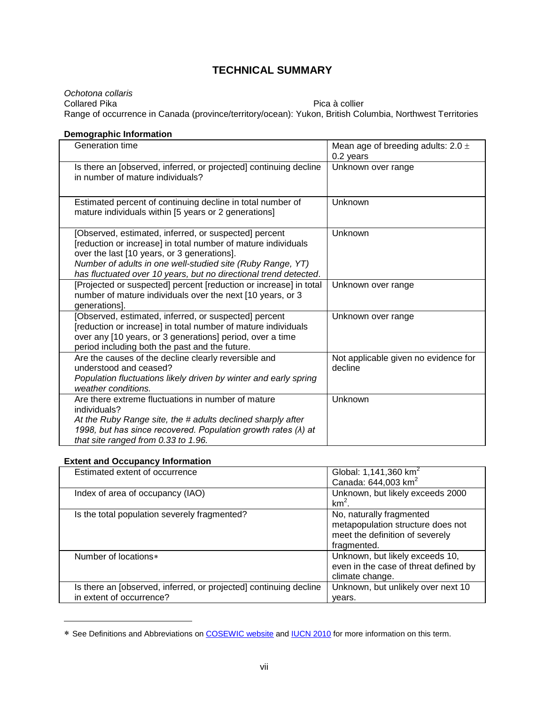# **TECHNICAL SUMMARY**

*Ochotona collaris* Collared Pika Pica à collier Range of occurrence in Canada (province/territory/ocean): Yukon, British Columbia, Northwest Territories

#### **Demographic Information**

| Generation time                                                                                                                                                                                                                                                                                         | Mean age of breeding adults: $2.0 \pm$<br>0.2 years |
|---------------------------------------------------------------------------------------------------------------------------------------------------------------------------------------------------------------------------------------------------------------------------------------------------------|-----------------------------------------------------|
| Is there an [observed, inferred, or projected] continuing decline<br>in number of mature individuals?                                                                                                                                                                                                   | Unknown over range                                  |
| Estimated percent of continuing decline in total number of<br>mature individuals within [5 years or 2 generations]                                                                                                                                                                                      | Unknown                                             |
| [Observed, estimated, inferred, or suspected] percent<br>[reduction or increase] in total number of mature individuals<br>over the last [10 years, or 3 generations].<br>Number of adults in one well-studied site (Ruby Range, YT)<br>has fluctuated over 10 years, but no directional trend detected. | Unknown                                             |
| [Projected or suspected] percent [reduction or increase] in total<br>number of mature individuals over the next [10 years, or 3<br>generations].                                                                                                                                                        | Unknown over range                                  |
| [Observed, estimated, inferred, or suspected] percent<br>[reduction or increase] in total number of mature individuals<br>over any [10 years, or 3 generations] period, over a time<br>period including both the past and the future.                                                                   | Unknown over range                                  |
| Are the causes of the decline clearly reversible and<br>understood and ceased?<br>Population fluctuations likely driven by winter and early spring<br>weather conditions.                                                                                                                               | Not applicable given no evidence for<br>decline     |
| Are there extreme fluctuations in number of mature<br>individuals?<br>At the Ruby Range site, the # adults declined sharply after<br>1998, but has since recovered. Population growth rates ( $\lambda$ ) at<br>that site ranged from 0.33 to 1.96.                                                     | Unknown                                             |

#### **Extent and Occupancy Information**

 $\overline{a}$ 

| Estimated extent of occurrence                                    | Global: 1,141,360 km <sup>2</sup>     |
|-------------------------------------------------------------------|---------------------------------------|
|                                                                   | Canada: 644,003 km <sup>2</sup>       |
| Index of area of occupancy (IAO)                                  | Unknown, but likely exceeds 2000      |
|                                                                   | $km2$ .                               |
| Is the total population severely fragmented?                      | No, naturally fragmented              |
|                                                                   | metapopulation structure does not     |
|                                                                   | meet the definition of severely       |
|                                                                   | fragmented.                           |
| Number of locations*                                              | Unknown, but likely exceeds 10,       |
|                                                                   | even in the case of threat defined by |
|                                                                   | climate change.                       |
| Is there an [observed, inferred, or projected] continuing decline | Unknown, but unlikely over next 10    |
| in extent of occurrence?                                          | vears.                                |

<span id="page-6-0"></span><sup>∗</sup> See Definitions and Abbreviations on [COSEWIC website](http://www.cosewic.gc.ca/eng/sct2/sct2_6_e.cfm) and [IUCN 2010](http://intranet.iucn.org/webfiles/doc/SSC/RedList/RedListGuidelines.pdf) for more information on this term.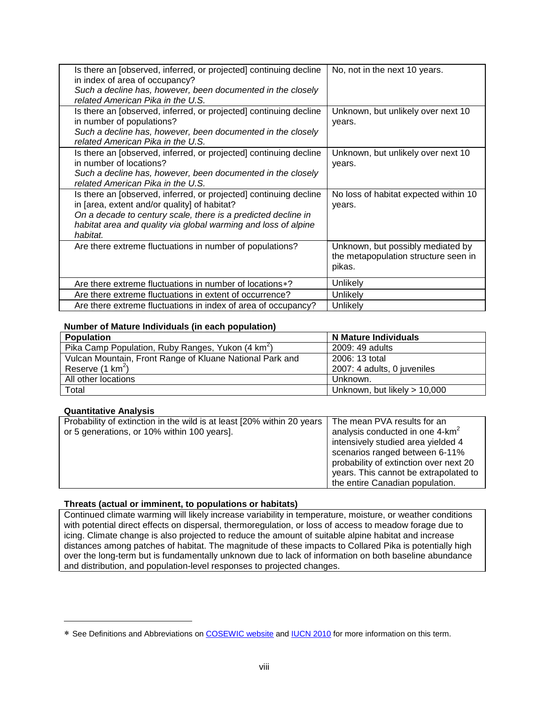| Is there an [observed, inferred, or projected] continuing decline<br>in index of area of occupancy?                                                                                                                                                              | No, not in the next 10 years.                                                       |
|------------------------------------------------------------------------------------------------------------------------------------------------------------------------------------------------------------------------------------------------------------------|-------------------------------------------------------------------------------------|
| Such a decline has, however, been documented in the closely<br>related American Pika in the U.S.                                                                                                                                                                 |                                                                                     |
| Is there an <i>[observed, inferred, or projected]</i> continuing decline<br>in number of populations?<br>Such a decline has, however, been documented in the closely<br>related American Pika in the U.S.                                                        | Unknown, but unlikely over next 10<br>years.                                        |
| Is there an [observed, inferred, or projected] continuing decline<br>in number of locations?<br>Such a decline has, however, been documented in the closely<br>related American Pika in the U.S.                                                                 | Unknown, but unlikely over next 10<br>years.                                        |
| Is there an [observed, inferred, or projected] continuing decline<br>in [area, extent and/or quality] of habitat?<br>On a decade to century scale, there is a predicted decline in<br>habitat area and quality via global warming and loss of alpine<br>habitat. | No loss of habitat expected within 10<br>years.                                     |
| Are there extreme fluctuations in number of populations?                                                                                                                                                                                                         | Unknown, but possibly mediated by<br>the metapopulation structure seen in<br>pikas. |
| Are there extreme fluctuations in number of locations *?                                                                                                                                                                                                         | Unlikely                                                                            |
| Are there extreme fluctuations in extent of occurrence?                                                                                                                                                                                                          | Unlikely                                                                            |
| Are there extreme fluctuations in index of area of occupancy?                                                                                                                                                                                                    | Unlikely                                                                            |

#### **Number of Mature Individuals (in each population)**

| <b>Population</b>                                             | N Mature Individuals           |
|---------------------------------------------------------------|--------------------------------|
| Pika Camp Population, Ruby Ranges, Yukon (4 km <sup>2</sup> ) | 2009: 49 adults                |
| Vulcan Mountain, Front Range of Kluane National Park and      | 2006: 13 total                 |
| Reserve $(1 \text{ km}^2)$                                    | 2007: 4 adults, 0 juveniles    |
| All other locations                                           | Unknown.                       |
| Total                                                         | Unknown, but likely $> 10,000$ |

#### **Quantitative Analysis**

 $\overline{a}$ 

| Probability of extinction in the wild is at least [20% within 20 years | The mean PVA results for an                 |
|------------------------------------------------------------------------|---------------------------------------------|
| or 5 generations, or 10% within 100 years].                            | analysis conducted in one 4-km <sup>2</sup> |
|                                                                        | intensively studied area yielded 4          |
|                                                                        | scenarios ranged between 6-11%              |
|                                                                        | probability of extinction over next 20      |
|                                                                        | years. This cannot be extrapolated to       |
|                                                                        | the entire Canadian population.             |

#### **Threats (actual or imminent, to populations or habitats)**

Continued climate warming will likely increase variability in temperature, moisture, or weather conditions with potential direct effects on dispersal, thermoregulation, or loss of access to meadow forage due to icing. Climate change is also projected to reduce the amount of suitable alpine habitat and increase distances among patches of habitat. The magnitude of these impacts to Collared Pika is potentially high over the long-term but is fundamentally unknown due to lack of information on both baseline abundance and distribution, and population-level responses to projected changes.

<span id="page-7-0"></span><sup>∗</sup> See Definitions and Abbreviations on [COSEWIC website](http://www.cosewic.gc.ca/eng/sct2/sct2_6_e.cfm) and [IUCN 2010](http://intranet.iucn.org/webfiles/doc/SSC/RedList/RedListGuidelines.pdf) for more information on this term.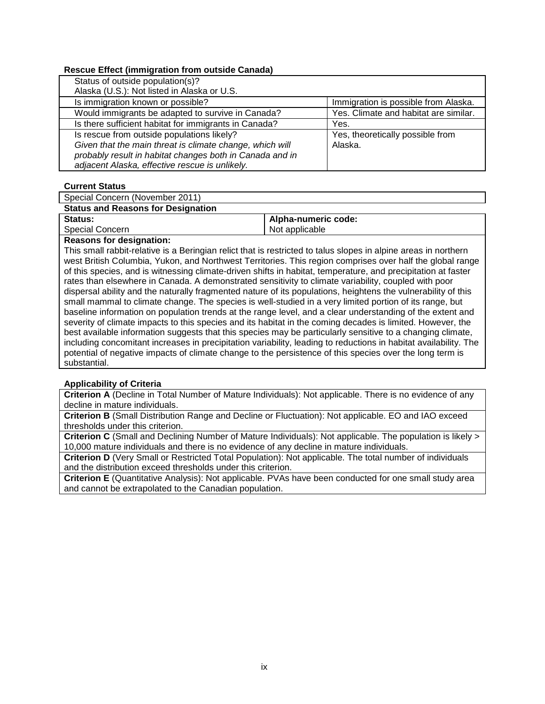#### **Rescue Effect (immigration from outside Canada)**

| Immigration is possible from Alaska.  |
|---------------------------------------|
| Yes. Climate and habitat are similar. |
| Yes.                                  |
| Yes, theoretically possible from      |
| Alaska.                               |
|                                       |
|                                       |
|                                       |

#### **Current Status**

Special Concern (November 2011)

| <b>Status and Reasons for Designation</b> |                     |
|-------------------------------------------|---------------------|
| Status:                                   | Alpha-numeric code: |
| <b>Special Concern</b>                    | Not applicable      |
|                                           |                     |

**Reasons for designation:**

This small rabbit-relative is a Beringian relict that is restricted to talus slopes in alpine areas in northern west British Columbia, Yukon, and Northwest Territories. This region comprises over half the global range of this species, and is witnessing climate-driven shifts in habitat, temperature, and precipitation at faster rates than elsewhere in Canada. A demonstrated sensitivity to climate variability, coupled with poor dispersal ability and the naturally fragmented nature of its populations, heightens the vulnerability of this small mammal to climate change. The species is well-studied in a very limited portion of its range, but baseline information on population trends at the range level, and a clear understanding of the extent and severity of climate impacts to this species and its habitat in the coming decades is limited. However, the best available information suggests that this species may be particularly sensitive to a changing climate, including concomitant increases in precipitation variability, leading to reductions in habitat availability. The potential of negative impacts of climate change to the persistence of this species over the long term is substantial.

#### **Applicability of Criteria**

**Criterion A** (Decline in Total Number of Mature Individuals): Not applicable. There is no evidence of any decline in mature individuals.

**Criterion B** (Small Distribution Range and Decline or Fluctuation): Not applicable. EO and IAO exceed thresholds under this criterion.

**Criterion C** (Small and Declining Number of Mature Individuals): Not applicable. The population is likely > 10,000 mature individuals and there is no evidence of any decline in mature individuals.

**Criterion D** (Very Small or Restricted Total Population): Not applicable. The total number of individuals and the distribution exceed thresholds under this criterion.

**Criterion E** (Quantitative Analysis): Not applicable. PVAs have been conducted for one small study area and cannot be extrapolated to the Canadian population.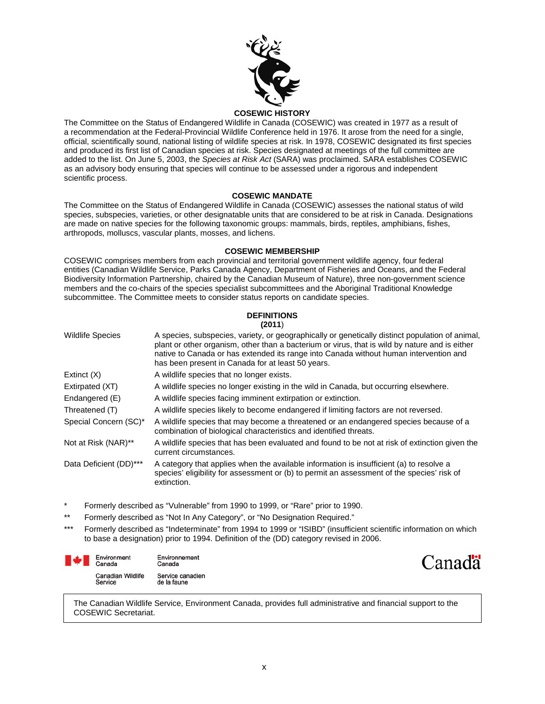

#### **COSEWIC HISTORY**

The Committee on the Status of Endangered Wildlife in Canada (COSEWIC) was created in 1977 as a result of a recommendation at the Federal-Provincial Wildlife Conference held in 1976. It arose from the need for a single, official, scientifically sound, national listing of wildlife species at risk. In 1978, COSEWIC designated its first species and produced its first list of Canadian species at risk. Species designated at meetings of the full committee are added to the list. On June 5, 2003, the *Species at Risk Act* (SARA) was proclaimed. SARA establishes COSEWIC as an advisory body ensuring that species will continue to be assessed under a rigorous and independent scientific process.

#### **COSEWIC MANDATE**

The Committee on the Status of Endangered Wildlife in Canada (COSEWIC) assesses the national status of wild species, subspecies, varieties, or other designatable units that are considered to be at risk in Canada. Designations are made on native species for the following taxonomic groups: mammals, birds, reptiles, amphibians, fishes, arthropods, molluscs, vascular plants, mosses, and lichens.

#### **COSEWIC MEMBERSHIP**

COSEWIC comprises members from each provincial and territorial government wildlife agency, four federal entities (Canadian Wildlife Service, Parks Canada Agency, Department of Fisheries and Oceans, and the Federal Biodiversity Information Partnership, chaired by the Canadian Museum of Nature), three non-government science members and the co-chairs of the species specialist subcommittees and the Aboriginal Traditional Knowledge subcommittee. The Committee meets to consider status reports on candidate species.

#### **DEFINITIONS (2011**)

| <b>Wildlife Species</b> | A species, subspecies, variety, or geographically or genetically distinct population of animal,<br>plant or other organism, other than a bacterium or virus, that is wild by nature and is either<br>native to Canada or has extended its range into Canada without human intervention and<br>has been present in Canada for at least 50 years. |
|-------------------------|-------------------------------------------------------------------------------------------------------------------------------------------------------------------------------------------------------------------------------------------------------------------------------------------------------------------------------------------------|
| Extinct $(X)$           | A wildlife species that no longer exists.                                                                                                                                                                                                                                                                                                       |
| Extirpated (XT)         | A wildlife species no longer existing in the wild in Canada, but occurring elsewhere.                                                                                                                                                                                                                                                           |
| Endangered (E)          | A wildlife species facing imminent extirpation or extinction.                                                                                                                                                                                                                                                                                   |
| Threatened (T)          | A wildlife species likely to become endangered if limiting factors are not reversed.                                                                                                                                                                                                                                                            |
| Special Concern (SC)*   | A wildlife species that may become a threatened or an endangered species because of a<br>combination of biological characteristics and identified threats.                                                                                                                                                                                      |
| Not at Risk (NAR)**     | A wildlife species that has been evaluated and found to be not at risk of extinction given the<br>current circumstances.                                                                                                                                                                                                                        |
| Data Deficient (DD)***  | A category that applies when the available information is insufficient (a) to resolve a<br>species' eligibility for assessment or (b) to permit an assessment of the species' risk of<br>extinction.                                                                                                                                            |

- Formerly described as "Vulnerable" from 1990 to 1999, or "Rare" prior to 1990.
- \*\* Formerly described as "Not In Any Category", or "No Designation Required."
- \*\*\* Formerly described as "Indeterminate" from 1994 to 1999 or "ISIBD" (insufficient scientific information on which to base a designation) prior to 1994. Definition of the (DD) category revised in 2006.

| Environment<br>Canada               | Environnement<br>Canada         |
|-------------------------------------|---------------------------------|
| <b>Canadian Wildlife</b><br>Service | Service canadien<br>de la faune |



The Canadian Wildlife Service, Environment Canada, provides full administrative and financial support to the COSEWIC Secretariat.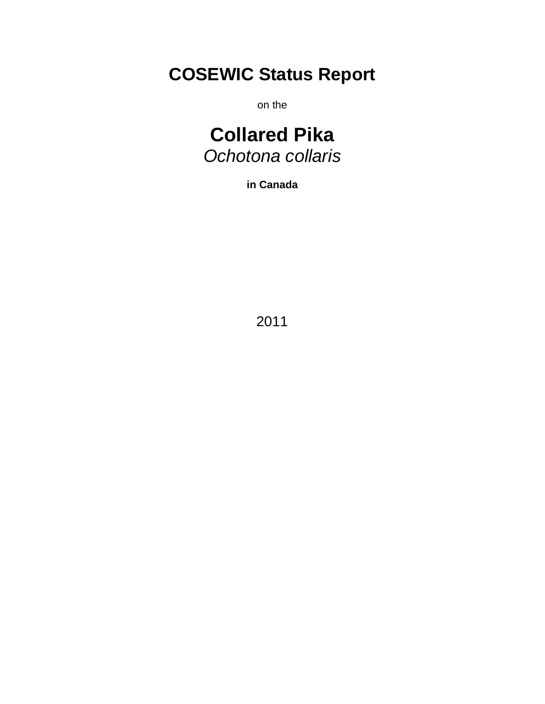# **COSEWIC Status Report**

on the

# **Collared Pika** *Ochotona collaris*

**in Canada**

2011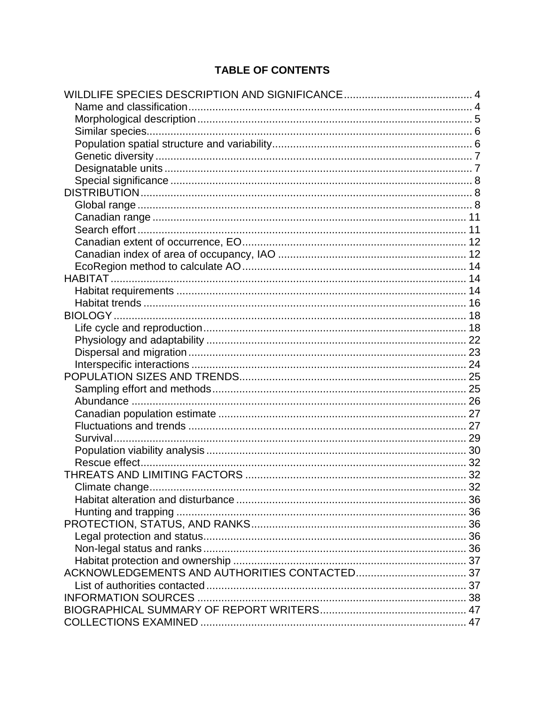# **TABLE OF CONTENTS**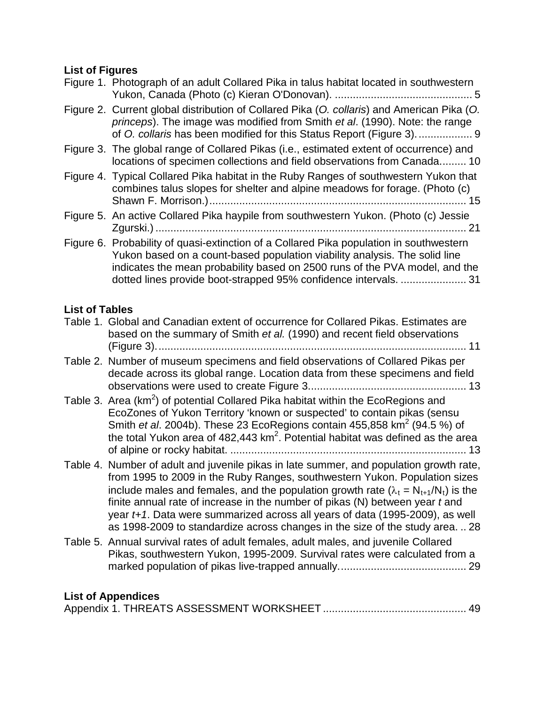# **List of Figures**

| ∟юι ∪г гіушсэ         | Figure 1. Photograph of an adult Collared Pika in talus habitat located in southwestern                                                                                                                                                                                                                                                                                                                                                                                                                                      |
|-----------------------|------------------------------------------------------------------------------------------------------------------------------------------------------------------------------------------------------------------------------------------------------------------------------------------------------------------------------------------------------------------------------------------------------------------------------------------------------------------------------------------------------------------------------|
|                       | Figure 2. Current global distribution of Collared Pika (O. collaris) and American Pika (O.<br>princeps). The image was modified from Smith et al. (1990). Note: the range<br>of O. collaris has been modified for this Status Report (Figure 3).  9                                                                                                                                                                                                                                                                          |
|                       | Figure 3. The global range of Collared Pikas (i.e., estimated extent of occurrence) and<br>locations of specimen collections and field observations from Canada 10                                                                                                                                                                                                                                                                                                                                                           |
|                       | Figure 4. Typical Collared Pika habitat in the Ruby Ranges of southwestern Yukon that<br>combines talus slopes for shelter and alpine meadows for forage. (Photo (c)                                                                                                                                                                                                                                                                                                                                                         |
|                       | Figure 5. An active Collared Pika haypile from southwestern Yukon. (Photo (c) Jessie                                                                                                                                                                                                                                                                                                                                                                                                                                         |
|                       | Figure 6. Probability of quasi-extinction of a Collared Pika population in southwestern<br>Yukon based on a count-based population viability analysis. The solid line<br>indicates the mean probability based on 2500 runs of the PVA model, and the<br>dotted lines provide boot-strapped 95% confidence intervals.  31                                                                                                                                                                                                     |
| <b>List of Tables</b> |                                                                                                                                                                                                                                                                                                                                                                                                                                                                                                                              |
|                       | Table 1. Global and Canadian extent of occurrence for Collared Pikas. Estimates are<br>based on the summary of Smith et al. (1990) and recent field observations                                                                                                                                                                                                                                                                                                                                                             |
|                       | Table 2. Number of museum specimens and field observations of Collared Pikas per<br>decade across its global range. Location data from these specimens and field                                                                                                                                                                                                                                                                                                                                                             |
|                       | Table 3. Area (km <sup>2</sup> ) of potential Collared Pika habitat within the EcoRegions and<br>EcoZones of Yukon Territory 'known or suspected' to contain pikas (sensu<br>Smith et al. 2004b). These 23 EcoRegions contain 455,858 km <sup>2</sup> (94.5 %) of<br>the total Yukon area of $482,443$ km <sup>2</sup> . Potential habitat was defined as the area                                                                                                                                                           |
|                       | Table 4. Number of adult and juvenile pikas in late summer, and population growth rate,<br>from 1995 to 2009 in the Ruby Ranges, southwestern Yukon. Population sizes<br>include males and females, and the population growth rate ( $\lambda_t = N_{t+1}/N_t$ ) is the<br>finite annual rate of increase in the number of pikas $(N)$ between year $t$ and<br>year t+1. Data were summarized across all years of data (1995-2009), as well<br>as 1998-2009 to standardize across changes in the size of the study area.  28 |
|                       | Table 5. Annual survival rates of adult females, adult males, and juvenile Collared<br>Pikas, southwestern Yukon, 1995-2009. Survival rates were calculated from a                                                                                                                                                                                                                                                                                                                                                           |

# **List of Appendices**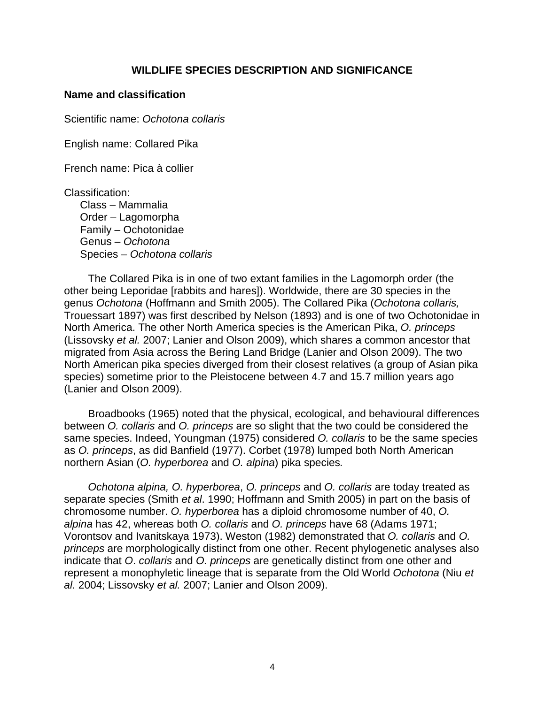### **WILDLIFE SPECIES DESCRIPTION AND SIGNIFICANCE**

#### <span id="page-13-1"></span><span id="page-13-0"></span>**Name and classification**

Scientific name: *Ochotona collaris*

English name: Collared Pika

French name: Pica à collier

Classification:

Class – Mammalia Order – Lagomorpha Family – Ochotonidae Genus – *Ochotona* Species – *Ochotona collaris*

The Collared Pika is in one of two extant families in the Lagomorph order (the other being Leporidae [rabbits and hares]). Worldwide, there are 30 species in the genus *Ochotona* (Hoffmann and Smith 2005). The Collared Pika (*Ochotona collaris,*  Trouessart 1897) was first described by Nelson (1893) and is one of two Ochotonidae in North America. The other North America species is the American Pika, *O. princeps* (Lissovsky *et al.* 2007; Lanier and Olson 2009), which shares a common ancestor that migrated from Asia across the Bering Land Bridge (Lanier and Olson 2009). The two North American pika species diverged from their closest relatives (a group of Asian pika species) sometime prior to the Pleistocene between 4.7 and 15.7 million years ago (Lanier and Olson 2009).

Broadbooks (1965) noted that the physical, ecological, and behavioural differences between *O. collaris* and *O. princeps* are so slight that the two could be considered the same species. Indeed, Youngman (1975) considered *O. collaris* to be the same species as *O. princeps*, as did Banfield (1977). Corbet (1978) lumped both North American northern Asian (*O. hyperborea* and *O. alpina*) pika species*.*

*Ochotona alpina, O. hyperborea*, *O. princeps* and *O. collaris* are today treated as separate species (Smith *et al*. 1990; Hoffmann and Smith 2005) in part on the basis of chromosome number. *O. hyperborea* has a diploid chromosome number of 40, *O. alpina* has 42, whereas both *O. collaris* and *O. princeps* have 68 (Adams 1971; Vorontsov and Ivanitskaya 1973). Weston (1982) demonstrated that *O. collaris* and *O. princeps* are morphologically distinct from one other. Recent phylogenetic analyses also indicate that *O*. *collaris* and *O. princeps* are genetically distinct from one other and represent a monophyletic lineage that is separate from the Old World *Ochotona* (Niu *et al.* 2004; Lissovsky *et al.* 2007; Lanier and Olson 2009).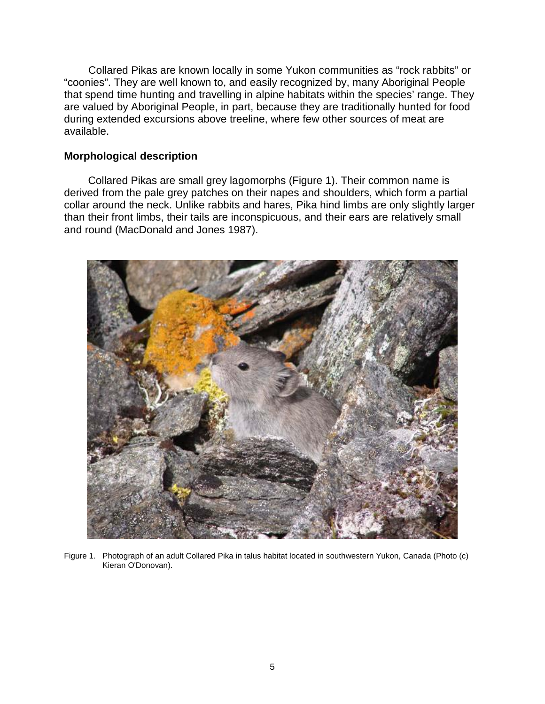Collared Pikas are known locally in some Yukon communities as "rock rabbits" or "coonies". They are well known to, and easily recognized by, many Aboriginal People that spend time hunting and travelling in alpine habitats within the species' range. They are valued by Aboriginal People, in part, because they are traditionally hunted for food during extended excursions above treeline, where few other sources of meat are available.

### <span id="page-14-0"></span>**Morphological description**

Collared Pikas are small grey lagomorphs (Figure 1). Their common name is derived from the pale grey patches on their napes and shoulders, which form a partial collar around the neck. Unlike rabbits and hares, Pika hind limbs are only slightly larger than their front limbs, their tails are inconspicuous, and their ears are relatively small and round (MacDonald and Jones 1987).

<span id="page-14-1"></span>

Figure 1. Photograph of an adult Collared Pika in talus habitat located in southwestern Yukon, Canada (Photo (c) Kieran O'Donovan).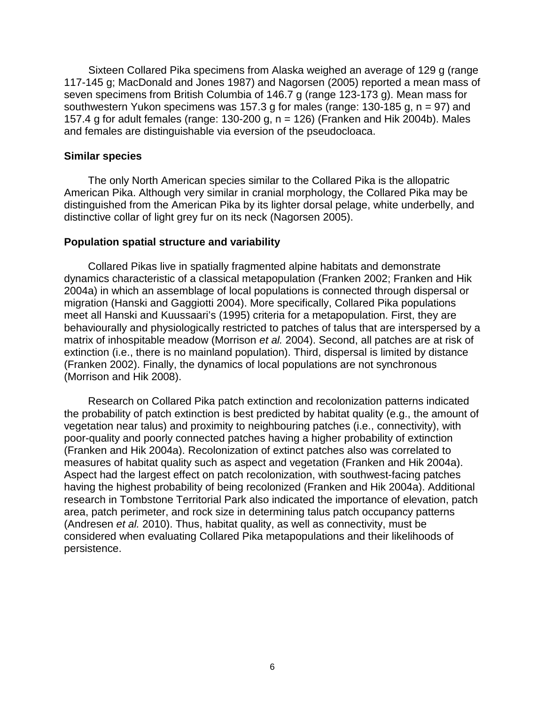Sixteen Collared Pika specimens from Alaska weighed an average of 129 g (range 117-145 g; MacDonald and Jones 1987) and Nagorsen (2005) reported a mean mass of seven specimens from British Columbia of 146.7 g (range 123-173 g). Mean mass for southwestern Yukon specimens was 157.3 g for males (range: 130-185 g,  $n = 97$ ) and 157.4 g for adult females (range: 130-200 g, n = 126) (Franken and Hik 2004b). Males and females are distinguishable via eversion of the pseudocloaca.

#### <span id="page-15-0"></span>**Similar species**

The only North American species similar to the Collared Pika is the allopatric American Pika. Although very similar in cranial morphology, the Collared Pika may be distinguished from the American Pika by its lighter dorsal pelage, white underbelly, and distinctive collar of light grey fur on its neck (Nagorsen 2005).

#### <span id="page-15-1"></span>**Population spatial structure and variability**

Collared Pikas live in spatially fragmented alpine habitats and demonstrate dynamics characteristic of a classical metapopulation (Franken 2002; Franken and Hik 2004a) in which an assemblage of local populations is connected through dispersal or migration (Hanski and Gaggiotti 2004). More specifically, Collared Pika populations meet all Hanski and Kuussaari's (1995) criteria for a metapopulation. First, they are behaviourally and physiologically restricted to patches of talus that are interspersed by a matrix of inhospitable meadow (Morrison *et al.* 2004). Second, all patches are at risk of extinction (i.e., there is no mainland population). Third, dispersal is limited by distance (Franken 2002). Finally, the dynamics of local populations are not synchronous (Morrison and Hik 2008).

Research on Collared Pika patch extinction and recolonization patterns indicated the probability of patch extinction is best predicted by habitat quality (e.g., the amount of vegetation near talus) and proximity to neighbouring patches (i.e., connectivity), with poor-quality and poorly connected patches having a higher probability of extinction (Franken and Hik 2004a). Recolonization of extinct patches also was correlated to measures of habitat quality such as aspect and vegetation (Franken and Hik 2004a). Aspect had the largest effect on patch recolonization, with southwest-facing patches having the highest probability of being recolonized (Franken and Hik 2004a). Additional research in Tombstone Territorial Park also indicated the importance of elevation, patch area, patch perimeter, and rock size in determining talus patch occupancy patterns (Andresen *et al.* 2010). Thus, habitat quality, as well as connectivity, must be considered when evaluating Collared Pika metapopulations and their likelihoods of persistence.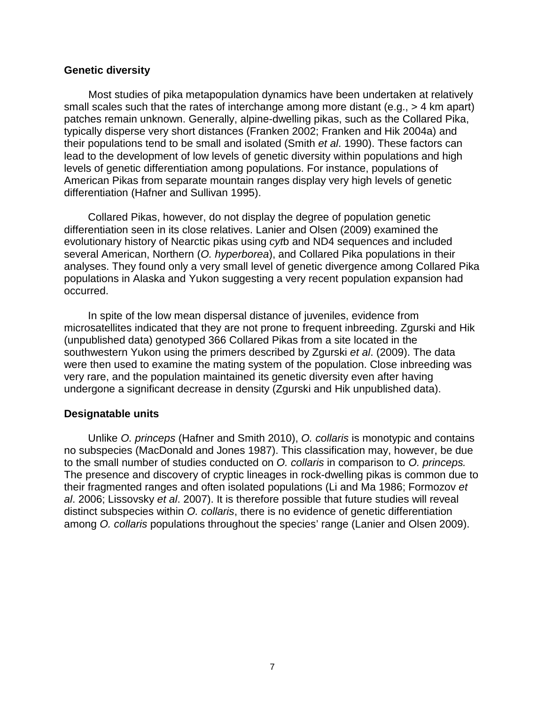#### <span id="page-16-0"></span>**Genetic diversity**

Most studies of pika metapopulation dynamics have been undertaken at relatively small scales such that the rates of interchange among more distant (e.g., > 4 km apart) patches remain unknown. Generally, alpine-dwelling pikas, such as the Collared Pika, typically disperse very short distances (Franken 2002; Franken and Hik 2004a) and their populations tend to be small and isolated (Smith *et al*. 1990). These factors can lead to the development of low levels of genetic diversity within populations and high levels of genetic differentiation among populations. For instance, populations of American Pikas from separate mountain ranges display very high levels of genetic differentiation (Hafner and Sullivan 1995).

Collared Pikas, however, do not display the degree of population genetic differentiation seen in its close relatives. Lanier and Olsen (2009) examined the evolutionary history of Nearctic pikas using *cyt*b and ND4 sequences and included several American, Northern (*O. hyperborea*), and Collared Pika populations in their analyses. They found only a very small level of genetic divergence among Collared Pika populations in Alaska and Yukon suggesting a very recent population expansion had occurred.

In spite of the low mean dispersal distance of juveniles, evidence from microsatellites indicated that they are not prone to frequent inbreeding. Zgurski and Hik (unpublished data) genotyped 366 Collared Pikas from a site located in the southwestern Yukon using the primers described by Zgurski *et al*. (2009). The data were then used to examine the mating system of the population. Close inbreeding was very rare, and the population maintained its genetic diversity even after having undergone a significant decrease in density (Zgurski and Hik unpublished data).

#### <span id="page-16-1"></span>**Designatable units**

Unlike *O. princeps* (Hafner and Smith 2010), *O. collaris* is monotypic and contains no subspecies (MacDonald and Jones 1987). This classification may, however, be due to the small number of studies conducted on *O. collaris* in comparison to *O. princeps.* The presence and discovery of cryptic lineages in rock-dwelling pikas is common due to their fragmented ranges and often isolated populations (Li and Ma 1986; Formozov *et al*. 2006; Lissovsky *et al*. 2007). It is therefore possible that future studies will reveal distinct subspecies within *O. collaris*, there is no evidence of genetic differentiation among *O. collaris* populations throughout the species' range (Lanier and Olsen 2009).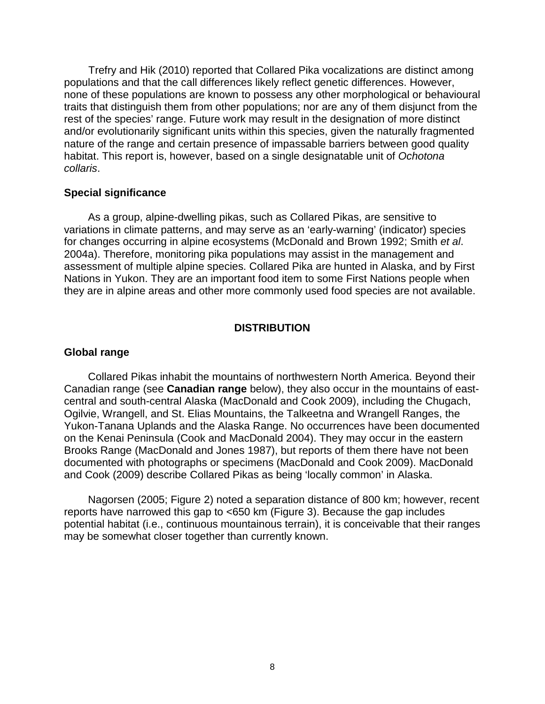Trefry and Hik (2010) reported that Collared Pika vocalizations are distinct among populations and that the call differences likely reflect genetic differences. However, none of these populations are known to possess any other morphological or behavioural traits that distinguish them from other populations; nor are any of them disjunct from the rest of the species' range. Future work may result in the designation of more distinct and/or evolutionarily significant units within this species, given the naturally fragmented nature of the range and certain presence of impassable barriers between good quality habitat. This report is, however, based on a single designatable unit of *Ochotona collaris*.

#### <span id="page-17-0"></span>**Special significance**

As a group, alpine-dwelling pikas, such as Collared Pikas, are sensitive to variations in climate patterns, and may serve as an 'early-warning' (indicator) species for changes occurring in alpine ecosystems (McDonald and Brown 1992; Smith *et al*. 2004a). Therefore, monitoring pika populations may assist in the management and assessment of multiple alpine species. Collared Pika are hunted in Alaska, and by First Nations in Yukon. They are an important food item to some First Nations people when they are in alpine areas and other more commonly used food species are not available.

#### **DISTRIBUTION**

#### <span id="page-17-2"></span><span id="page-17-1"></span>**Global range**

Collared Pikas inhabit the mountains of northwestern North America. Beyond their Canadian range (see **Canadian range** below), they also occur in the mountains of eastcentral and south-central Alaska (MacDonald and Cook 2009), including the Chugach, Ogilvie, Wrangell, and St. Elias Mountains, the Talkeetna and Wrangell Ranges, the Yukon-Tanana Uplands and the Alaska Range. No occurrences have been documented on the Kenai Peninsula (Cook and MacDonald 2004). They may occur in the eastern Brooks Range (MacDonald and Jones 1987), but reports of them there have not been documented with photographs or specimens (MacDonald and Cook 2009). MacDonald and Cook (2009) describe Collared Pikas as being 'locally common' in Alaska.

Nagorsen (2005; Figure 2) noted a separation distance of 800 km; however, recent reports have narrowed this gap to <650 km (Figure 3). Because the gap includes potential habitat (i.e., continuous mountainous terrain), it is conceivable that their ranges may be somewhat closer together than currently known.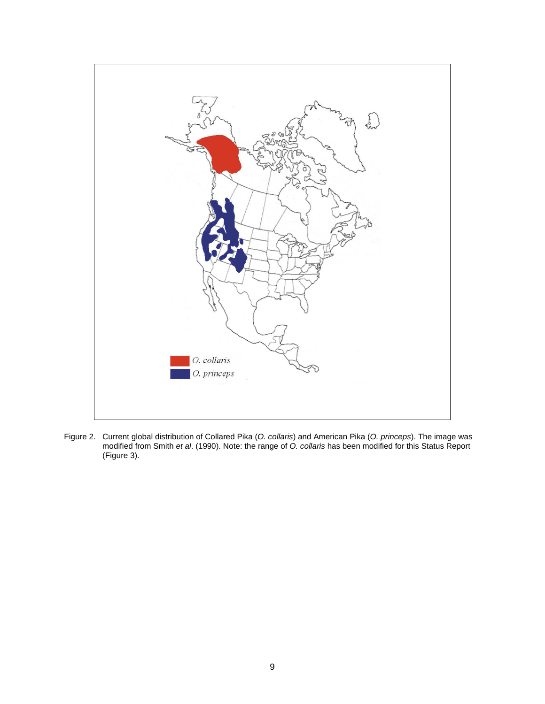

<span id="page-18-0"></span>Figure 2. Current global distribution of Collared Pika (*O. collaris*) and American Pika (*O. princeps*). The image was modified from Smith *et al*. (1990). Note: the range of *O. collaris* has been modified for this Status Report (Figure 3).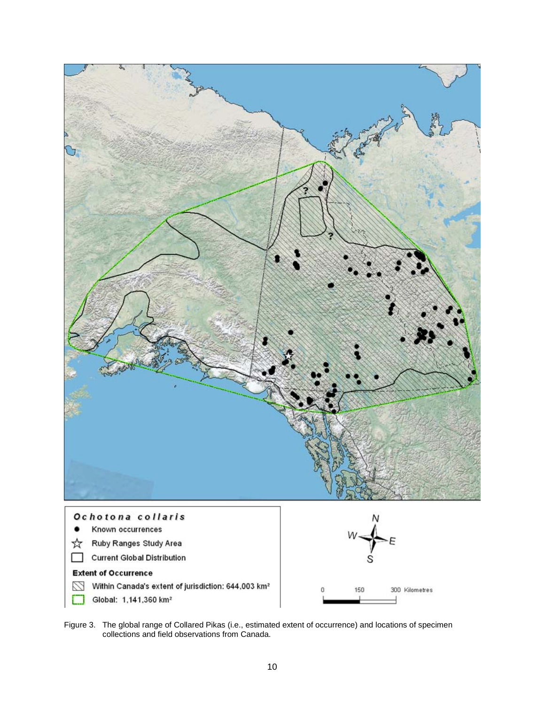

<span id="page-19-0"></span>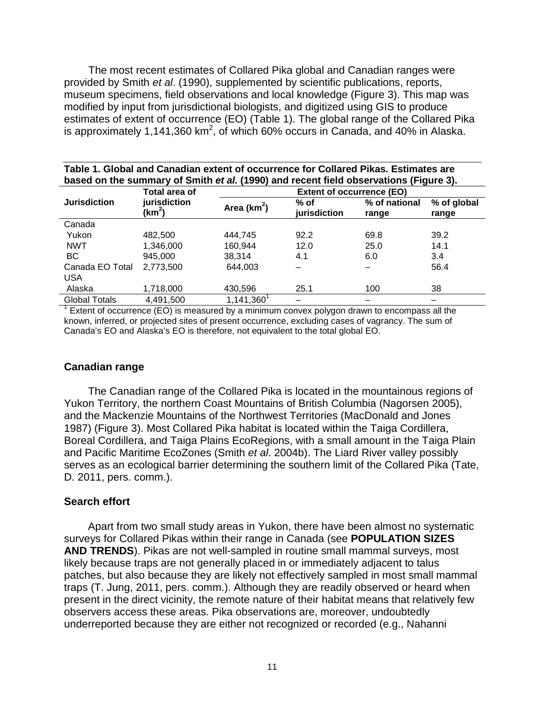The most recent estimates of Collared Pika global and Canadian ranges were provided by Smith *et al*. (1990), supplemented by scientific publications, reports, museum specimens, field observations and local knowledge (Figure 3). This map was modified by input from jurisdictional biologists, and digitized using GIS to produce estimates of extent of occurrence (EO) (Table 1). The global range of the Collared Pika is approximately 1,141,360 km<sup>2</sup>, of which 60% occurs in Canada, and 40% in Alaska.

<span id="page-20-2"></span>

| Table 1. Global and Canadian extent of occurrence for Collared Pikas. Estimates are   |  |
|---------------------------------------------------------------------------------------|--|
| based on the summary of Smith et al. (1990) and recent field observations (Figure 3). |  |

|                      | Total area of              |                     | <b>Extent of occurrence (EO)</b> |                        |                      |  |  |  |
|----------------------|----------------------------|---------------------|----------------------------------|------------------------|----------------------|--|--|--|
| <b>Jurisdiction</b>  | jurisdiction<br>(km $^2$ ) | Area ( $km^2$ )     | $%$ of<br>jurisdiction           | % of national<br>range | % of global<br>range |  |  |  |
| Canada               |                            |                     |                                  |                        |                      |  |  |  |
| Yukon                | 482.500                    | 444.745             | 92.2                             | 69.8                   | 39.2                 |  |  |  |
| <b>NWT</b>           | 1,346,000                  | 160.944             | 12.0                             | 25.0                   | 14.1                 |  |  |  |
| ВC                   | 945,000                    | 38,314              | 4.1                              | 6.0                    | 3.4                  |  |  |  |
| Canada EO Total      | 2,773,500                  | 644,003             |                                  |                        | 56.4                 |  |  |  |
| <b>USA</b>           |                            |                     |                                  |                        |                      |  |  |  |
| Alaska               | 1,718,000                  | 430.596             | 25.1                             | 100                    | 38                   |  |  |  |
| <b>Global Totals</b> | 4,491,500                  | $1,141,360^{\circ}$ |                                  |                        | -                    |  |  |  |

 $^1$  Extent of occurrence (EO) is measured by a minimum convex polygon drawn to encompass all the known, inferred, or projected sites of present occurrence, excluding cases of vagrancy. The sum of Canada's EO and Alaska's EO is therefore, not equivalent to the total global EO.

#### <span id="page-20-0"></span>**Canadian range**

The Canadian range of the Collared Pika is located in the mountainous regions of Yukon Territory, the northern Coast Mountains of British Columbia (Nagorsen 2005), and the Mackenzie Mountains of the Northwest Territories (MacDonald and Jones 1987) (Figure 3). Most Collared Pika habitat is located within the Taiga Cordillera, Boreal Cordillera, and Taiga Plains EcoRegions, with a small amount in the Taiga Plain and Pacific Maritime EcoZones (Smith *et al*. 2004b). The Liard River valley possibly serves as an ecological barrier determining the southern limit of the Collared Pika (Tate, D. 2011, pers. comm.).

#### <span id="page-20-1"></span>**Search effort**

Apart from two small study areas in Yukon, there have been almost no systematic surveys for Collared Pikas within their range in Canada (see **POPULATION SIZES AND TRENDS**). Pikas are not well-sampled in routine small mammal surveys, most likely because traps are not generally placed in or immediately adjacent to talus patches, but also because they are likely not effectively sampled in most small mammal traps (T. Jung, 2011, pers. comm.). Although they are readily observed or heard when present in the direct vicinity, the remote nature of their habitat means that relatively few observers access these areas. Pika observations are, moreover, undoubtedly underreported because they are either not recognized or recorded (e.g., Nahanni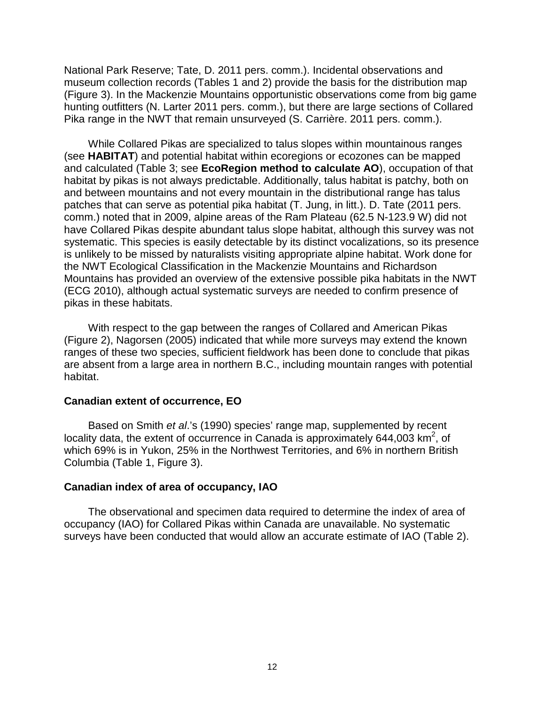National Park Reserve; Tate, D. 2011 pers. comm.). Incidental observations and museum collection records (Tables 1 and 2) provide the basis for the distribution map (Figure 3). In the Mackenzie Mountains opportunistic observations come from big game hunting outfitters (N. Larter 2011 pers. comm.), but there are large sections of Collared Pika range in the NWT that remain unsurveyed (S. Carrière. 2011 pers. comm.).

While Collared Pikas are specialized to talus slopes within mountainous ranges (see **HABITAT**) and potential habitat within ecoregions or ecozones can be mapped and calculated (Table 3; see **EcoRegion method to calculate AO**), occupation of that habitat by pikas is not always predictable. Additionally, talus habitat is patchy, both on and between mountains and not every mountain in the distributional range has talus patches that can serve as potential pika habitat (T. Jung, in litt.). D. Tate (2011 pers. comm.) noted that in 2009, alpine areas of the Ram Plateau (62.5 N-123.9 W) did not have Collared Pikas despite abundant talus slope habitat, although this survey was not systematic. This species is easily detectable by its distinct vocalizations, so its presence is unlikely to be missed by naturalists visiting appropriate alpine habitat. Work done for the NWT Ecological Classification in the Mackenzie Mountains and Richardson Mountains has provided an overview of the extensive possible pika habitats in the NWT (ECG 2010), although actual systematic surveys are needed to confirm presence of pikas in these habitats.

With respect to the gap between the ranges of Collared and American Pikas (Figure 2), Nagorsen (2005) indicated that while more surveys may extend the known ranges of these two species, sufficient fieldwork has been done to conclude that pikas are absent from a large area in northern B.C., including mountain ranges with potential habitat.

#### <span id="page-21-0"></span>**Canadian extent of occurrence, EO**

Based on Smith *et al*.'s (1990) species' range map, supplemented by recent locality data, the extent of occurrence in Canada is approximately 644,003 km<sup>2</sup>, of which 69% is in Yukon, 25% in the Northwest Territories, and 6% in northern British Columbia (Table 1, Figure 3).

#### <span id="page-21-1"></span>**Canadian index of area of occupancy, IAO**

The observational and specimen data required to determine the index of area of occupancy (IAO) for Collared Pikas within Canada are unavailable. No systematic surveys have been conducted that would allow an accurate estimate of IAO (Table 2).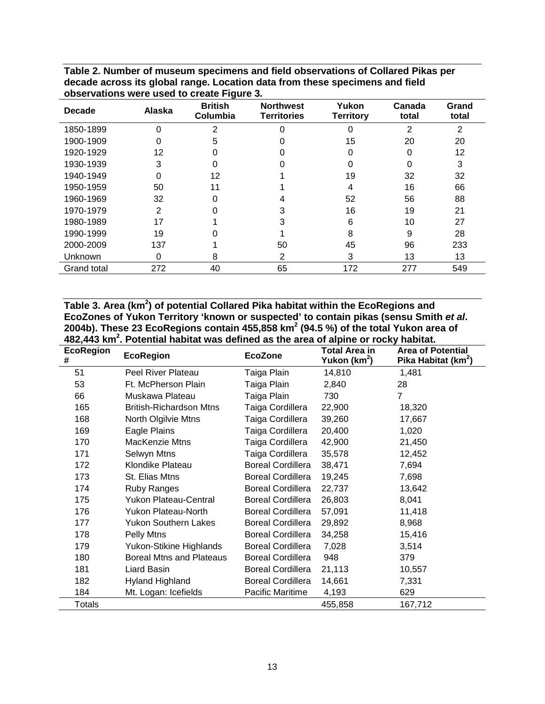| <b>Decade</b> | Alaska | ັ<br><b>British</b><br>Columbia | <b>Northwest</b><br><b>Territories</b> | Yukon<br>Territory | Canada<br>total | Grand<br>total |
|---------------|--------|---------------------------------|----------------------------------------|--------------------|-----------------|----------------|
| 1850-1899     | 0      | 2                               | ∩                                      | 0                  | 2               | $\overline{2}$ |
| 1900-1909     | ი      | 5                               |                                        | 15                 | 20              | 20             |
| 1920-1929     | 12     |                                 |                                        |                    | 0               | 12             |
| 1930-1939     | 3      | ი                               |                                        |                    | ი               | 3              |
| 1940-1949     | ი      | 12                              |                                        | 19                 | 32              | 32             |
| 1950-1959     | 50     | 11                              |                                        | 4                  | 16              | 66             |
| 1960-1969     | 32     |                                 |                                        | 52                 | 56              | 88             |
| 1970-1979     | 2      |                                 |                                        | 16                 | 19              | 21             |
| 1980-1989     | 17     |                                 | 3                                      | 6                  | 10              | 27             |
| 1990-1999     | 19     |                                 |                                        | 8                  | 9               | 28             |
| 2000-2009     | 137    |                                 | 50                                     | 45                 | 96              | 233            |
| Unknown       | 0      | 8                               | 2                                      | 3                  | 13              | 13             |
| Grand total   | 272    | 40                              | 65                                     | 172                | 277             | 549            |

<span id="page-22-0"></span>**Table 2. Number of museum specimens and field observations of Collared Pikas per decade across its global range. Location data from these specimens and field observations were used to create Figure 3.** 

<span id="page-22-1"></span>Table 3. Area (km<sup>2</sup>) of potential Collared Pika habitat within the EcoRegions and **EcoZones of Yukon Territory 'known or suspected' to contain pikas (sensu Smith** *et al***. 2004b). These 23 EcoRegions contain 455,858 km2 (94.5 %) of the total Yukon area of 482,443 km2 . Potential habitat was defined as the area of alpine or rocky habitat.**

| <b>EcoRegion</b><br># | <b>EcoRegion</b>                | <b>EcoZone</b>           | <b>Total Area in</b><br>Yukon (km <sup>2</sup> ) | <b>Area of Potential</b><br>Pika Habitat (km <sup>2</sup> ) |
|-----------------------|---------------------------------|--------------------------|--------------------------------------------------|-------------------------------------------------------------|
| 51                    | Peel River Plateau              | Taiga Plain              | 14,810                                           | 1,481                                                       |
| 53                    | Ft. McPherson Plain             | Taiga Plain              | 2,840                                            | 28                                                          |
| 66                    | Muskawa Plateau                 | Taiga Plain              | 730                                              | 7                                                           |
| 165                   | <b>British-Richardson Mtns</b>  | Taiga Cordillera         | 22,900                                           | 18,320                                                      |
| 168                   | North Olgilvie Mtns             | Taiga Cordillera         | 39,260                                           | 17,667                                                      |
| 169                   | Eagle Plains                    | Taiga Cordillera         | 20,400                                           | 1,020                                                       |
| 170                   | <b>MacKenzie Mtns</b>           | Taiga Cordillera         | 42,900                                           | 21,450                                                      |
| 171                   | Selwyn Mtns                     | Taiga Cordillera         | 35,578                                           | 12,452                                                      |
| 172                   | Klondike Plateau                | <b>Boreal Cordillera</b> | 38,471                                           | 7,694                                                       |
| 173                   | St. Elias Mtns                  | <b>Boreal Cordillera</b> | 19,245                                           | 7,698                                                       |
| 174                   | <b>Ruby Ranges</b>              | <b>Boreal Cordillera</b> | 22,737                                           | 13,642                                                      |
| 175                   | <b>Yukon Plateau-Central</b>    | <b>Boreal Cordillera</b> | 26,803                                           | 8,041                                                       |
| 176                   | <b>Yukon Plateau-North</b>      | <b>Boreal Cordillera</b> | 57,091                                           | 11,418                                                      |
| 177                   | Yukon Southern Lakes            | <b>Boreal Cordillera</b> | 29,892                                           | 8,968                                                       |
| 178                   | Pelly Mtns                      | <b>Boreal Cordillera</b> | 34,258                                           | 15,416                                                      |
| 179                   | Yukon-Stikine Highlands         | <b>Boreal Cordillera</b> | 7,028                                            | 3,514                                                       |
| 180                   | <b>Boreal Mtns and Plateaus</b> | <b>Boreal Cordillera</b> | 948                                              | 379                                                         |
| 181                   | Liard Basin                     | <b>Boreal Cordillera</b> | 21,113                                           | 10,557                                                      |
| 182                   | <b>Hyland Highland</b>          | <b>Boreal Cordillera</b> | 14,661                                           | 7,331                                                       |
| 184                   | Mt. Logan: Icefields            | Pacific Maritime         | 4,193                                            | 629                                                         |
| <b>Totals</b>         |                                 |                          | 455,858                                          | 167,712                                                     |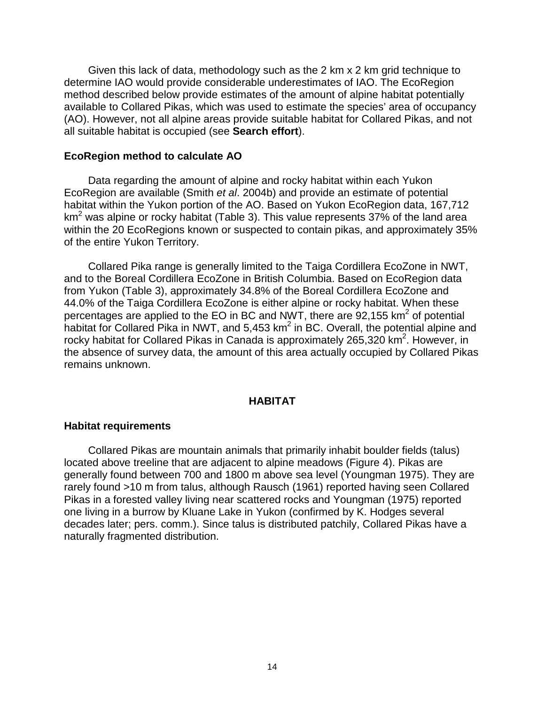Given this lack of data, methodology such as the 2 km x 2 km grid technique to determine IAO would provide considerable underestimates of IAO. The EcoRegion method described below provide estimates of the amount of alpine habitat potentially available to Collared Pikas, which was used to estimate the species' area of occupancy (AO). However, not all alpine areas provide suitable habitat for Collared Pikas, and not all suitable habitat is occupied (see **Search effort**).

#### <span id="page-23-0"></span>**EcoRegion method to calculate AO**

Data regarding the amount of alpine and rocky habitat within each Yukon EcoRegion are available (Smith *et al*. 2004b) and provide an estimate of potential habitat within the Yukon portion of the AO. Based on Yukon EcoRegion data, 167,712  $km<sup>2</sup>$  was alpine or rocky habitat (Table 3). This value represents 37% of the land area within the 20 EcoRegions known or suspected to contain pikas, and approximately 35% of the entire Yukon Territory.

Collared Pika range is generally limited to the Taiga Cordillera EcoZone in NWT, and to the Boreal Cordillera EcoZone in British Columbia. Based on EcoRegion data from Yukon (Table 3), approximately 34.8% of the Boreal Cordillera EcoZone and 44.0% of the Taiga Cordillera EcoZone is either alpine or rocky habitat. When these percentages are applied to the EO in BC and NWT, there are  $92,155$  km<sup>2</sup> of potential habitat for Collared Pika in NWT, and 5,453 km<sup>2</sup> in BC. Overall, the potential alpine and rocky habitat for Collared Pikas in Canada is approximately 265,320 km<sup>2</sup>. However, in the absence of survey data, the amount of this area actually occupied by Collared Pikas remains unknown.

#### **HABITAT**

#### <span id="page-23-2"></span><span id="page-23-1"></span>**Habitat requirements**

Collared Pikas are mountain animals that primarily inhabit boulder fields (talus) located above treeline that are adjacent to alpine meadows (Figure 4). Pikas are generally found between 700 and 1800 m above sea level (Youngman 1975). They are rarely found >10 m from talus, although Rausch (1961) reported having seen Collared Pikas in a forested valley living near scattered rocks and Youngman (1975) reported one living in a burrow by Kluane Lake in Yukon (confirmed by K. Hodges several decades later; pers. comm.). Since talus is distributed patchily, Collared Pikas have a naturally fragmented distribution.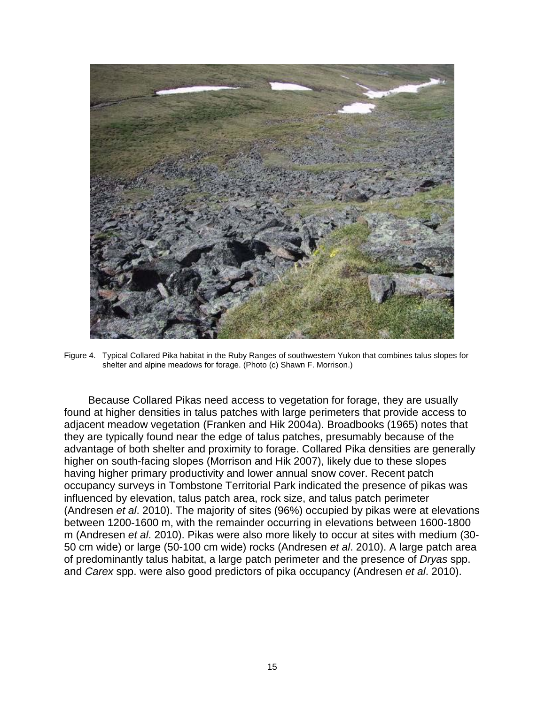

Figure 4. Typical Collared Pika habitat in the Ruby Ranges of southwestern Yukon that combines talus slopes for shelter and alpine meadows for forage. (Photo (c) Shawn F. Morrison.)

<span id="page-24-0"></span>Because Collared Pikas need access to vegetation for forage, they are usually found at higher densities in talus patches with large perimeters that provide access to adjacent meadow vegetation (Franken and Hik 2004a). Broadbooks (1965) notes that they are typically found near the edge of talus patches, presumably because of the advantage of both shelter and proximity to forage. Collared Pika densities are generally higher on south-facing slopes (Morrison and Hik 2007), likely due to these slopes having higher primary productivity and lower annual snow cover. Recent patch occupancy surveys in Tombstone Territorial Park indicated the presence of pikas was influenced by elevation, talus patch area, rock size, and talus patch perimeter (Andresen *et al*. 2010). The majority of sites (96%) occupied by pikas were at elevations between 1200-1600 m, with the remainder occurring in elevations between 1600-1800 m (Andresen *et al*. 2010). Pikas were also more likely to occur at sites with medium (30- 50 cm wide) or large (50-100 cm wide) rocks (Andresen *et al*. 2010). A large patch area of predominantly talus habitat, a large patch perimeter and the presence of *Dryas* spp. and *Carex* spp. were also good predictors of pika occupancy (Andresen *et al*. 2010).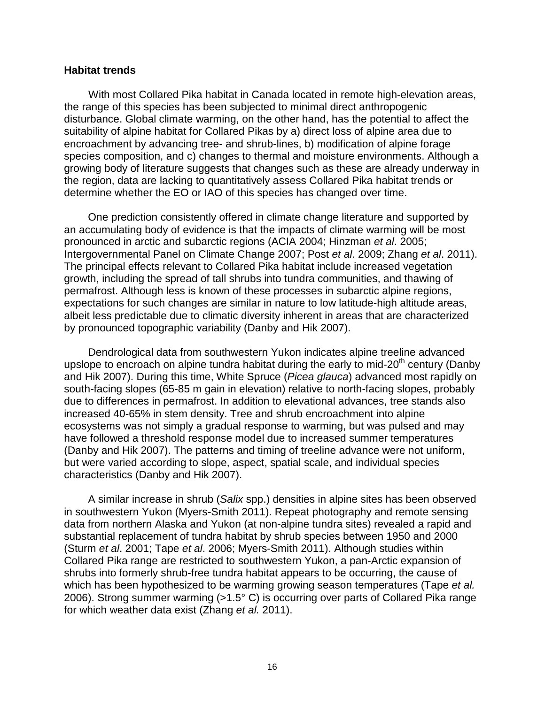#### <span id="page-25-0"></span>**Habitat trends**

With most Collared Pika habitat in Canada located in remote high-elevation areas, the range of this species has been subjected to minimal direct anthropogenic disturbance. Global climate warming, on the other hand, has the potential to affect the suitability of alpine habitat for Collared Pikas by a) direct loss of alpine area due to encroachment by advancing tree- and shrub-lines, b) modification of alpine forage species composition, and c) changes to thermal and moisture environments. Although a growing body of literature suggests that changes such as these are already underway in the region, data are lacking to quantitatively assess Collared Pika habitat trends or determine whether the EO or IAO of this species has changed over time.

One prediction consistently offered in climate change literature and supported by an accumulating body of evidence is that the impacts of climate warming will be most pronounced in arctic and subarctic regions (ACIA 2004; Hinzman *et al*. 2005; Intergovernmental Panel on Climate Change 2007; Post *et al*. 2009; Zhang *et al*. 2011). The principal effects relevant to Collared Pika habitat include increased vegetation growth, including the spread of tall shrubs into tundra communities, and thawing of permafrost. Although less is known of these processes in subarctic alpine regions, expectations for such changes are similar in nature to low latitude-high altitude areas, albeit less predictable due to climatic diversity inherent in areas that are characterized by pronounced topographic variability (Danby and Hik 2007).

Dendrological data from southwestern Yukon indicates alpine treeline advanced upslope to encroach on alpine tundra habitat during the early to mid-20<sup>th</sup> century (Danby and Hik 2007). During this time, White Spruce (*Picea glauca*) advanced most rapidly on south-facing slopes (65-85 m gain in elevation) relative to north-facing slopes, probably due to differences in permafrost. In addition to elevational advances, tree stands also increased 40-65% in stem density. Tree and shrub encroachment into alpine ecosystems was not simply a gradual response to warming, but was pulsed and may have followed a threshold response model due to increased summer temperatures (Danby and Hik 2007). The patterns and timing of treeline advance were not uniform, but were varied according to slope, aspect, spatial scale, and individual species characteristics (Danby and Hik 2007).

A similar increase in shrub (*Salix* spp.) densities in alpine sites has been observed in southwestern Yukon (Myers-Smith 2011). Repeat photography and remote sensing data from northern Alaska and Yukon (at non-alpine tundra sites) revealed a rapid and substantial replacement of tundra habitat by shrub species between 1950 and 2000 (Sturm *et al*. 2001; Tape *et al*. 2006; Myers-Smith 2011). Although studies within Collared Pika range are restricted to southwestern Yukon, a pan-Arctic expansion of shrubs into formerly shrub-free tundra habitat appears to be occurring, the cause of which has been hypothesized to be warming growing season temperatures (Tape *et al.* 2006). Strong summer warming (>1.5° C) is occurring over parts of Collared Pika range for which weather data exist (Zhang *et al.* 2011).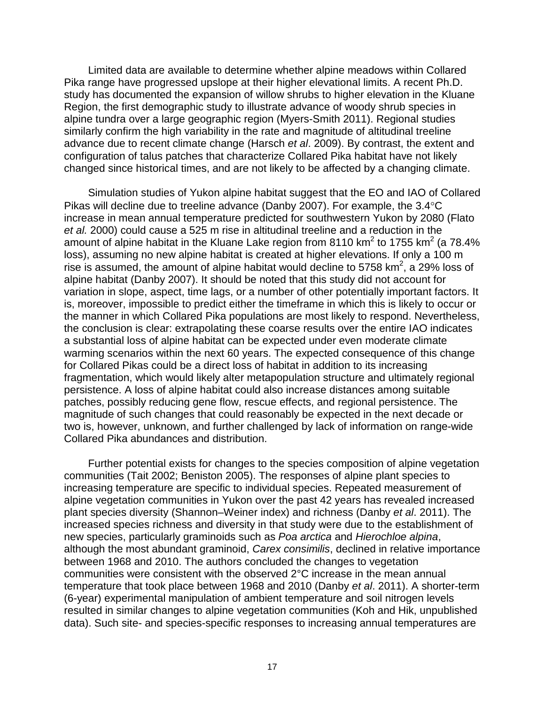Limited data are available to determine whether alpine meadows within Collared Pika range have progressed upslope at their higher elevational limits. A recent Ph.D. study has documented the expansion of willow shrubs to higher elevation in the Kluane Region, the first demographic study to illustrate advance of woody shrub species in alpine tundra over a large geographic region (Myers-Smith 2011). Regional studies similarly confirm the high variability in the rate and magnitude of altitudinal treeline advance due to recent climate change (Harsch *et al*. 2009). By contrast, the extent and configuration of talus patches that characterize Collared Pika habitat have not likely changed since historical times, and are not likely to be affected by a changing climate.

Simulation studies of Yukon alpine habitat suggest that the EO and IAO of Collared Pikas will decline due to treeline advance (Danby 2007). For example, the 3.4°C increase in mean annual temperature predicted for southwestern Yukon by 2080 (Flato *et al.* 2000) could cause a 525 m rise in altitudinal treeline and a reduction in the amount of alpine habitat in the Kluane Lake region from 8110 km<sup>2</sup> to 1755 km<sup>2</sup> (a 78.4%) loss), assuming no new alpine habitat is created at higher elevations. If only a 100 m rise is assumed, the amount of alpine habitat would decline to 5758  $km^2$ , a 29% loss of alpine habitat (Danby 2007). It should be noted that this study did not account for variation in slope, aspect, time lags, or a number of other potentially important factors. It is, moreover, impossible to predict either the timeframe in which this is likely to occur or the manner in which Collared Pika populations are most likely to respond. Nevertheless, the conclusion is clear: extrapolating these coarse results over the entire IAO indicates a substantial loss of alpine habitat can be expected under even moderate climate warming scenarios within the next 60 years. The expected consequence of this change for Collared Pikas could be a direct loss of habitat in addition to its increasing fragmentation, which would likely alter metapopulation structure and ultimately regional persistence. A loss of alpine habitat could also increase distances among suitable patches, possibly reducing gene flow, rescue effects, and regional persistence. The magnitude of such changes that could reasonably be expected in the next decade or two is, however, unknown, and further challenged by lack of information on range-wide Collared Pika abundances and distribution.

Further potential exists for changes to the species composition of alpine vegetation communities (Tait 2002; Beniston 2005). The responses of alpine plant species to increasing temperature are specific to individual species. Repeated measurement of alpine vegetation communities in Yukon over the past 42 years has revealed increased plant species diversity (Shannon–Weiner index) and richness (Danby *et al*. 2011). The increased species richness and diversity in that study were due to the establishment of new species, particularly graminoids such as *Poa arctica* and *Hierochloe alpina*, although the most abundant graminoid, *Carex consimilis*, declined in relative importance between 1968 and 2010. The authors concluded the changes to vegetation communities were consistent with the observed 2°C increase in the mean annual temperature that took place between 1968 and 2010 (Danby *et al*. 2011). A shorter-term (6-year) experimental manipulation of ambient temperature and soil nitrogen levels resulted in similar changes to alpine vegetation communities (Koh and Hik, unpublished data). Such site- and species-specific responses to increasing annual temperatures are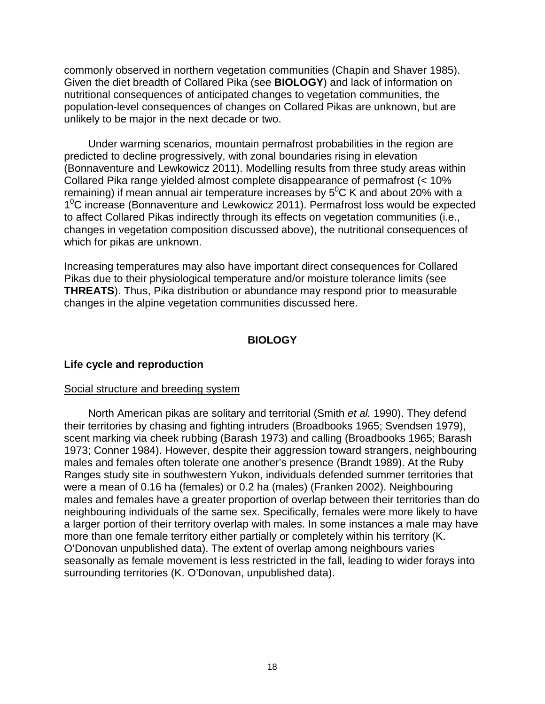commonly observed in northern vegetation communities (Chapin and Shaver 1985). Given the diet breadth of Collared Pika (see **BIOLOGY**) and lack of information on nutritional consequences of anticipated changes to vegetation communities, the population-level consequences of changes on Collared Pikas are unknown, but are unlikely to be major in the next decade or two.

Under warming scenarios, mountain permafrost probabilities in the region are predicted to decline progressively, with zonal boundaries rising in elevation (Bonnaventure and Lewkowicz 2011). Modelling results from three study areas within Collared Pika range yielded almost complete disappearance of permafrost (< 10% remaining) if mean annual air temperature increases by  $5^0C$  K and about 20% with a 1<sup>o</sup>C increase (Bonnaventure and Lewkowicz 2011). Permafrost loss would be expected to affect Collared Pikas indirectly through its effects on vegetation communities (i.e., changes in vegetation composition discussed above), the nutritional consequences of which for pikas are unknown.

Increasing temperatures may also have important direct consequences for Collared Pikas due to their physiological temperature and/or moisture tolerance limits (see **THREATS**). Thus, Pika distribution or abundance may respond prior to measurable changes in the alpine vegetation communities discussed here.

## **BIOLOGY**

#### <span id="page-27-1"></span><span id="page-27-0"></span>**Life cycle and reproduction**

#### Social structure and breeding system

North American pikas are solitary and territorial (Smith *et al.* 1990). They defend their territories by chasing and fighting intruders (Broadbooks 1965; Svendsen 1979), scent marking via cheek rubbing (Barash 1973) and calling (Broadbooks 1965; Barash 1973; Conner 1984). However, despite their aggression toward strangers, neighbouring males and females often tolerate one another's presence (Brandt 1989). At the Ruby Ranges study site in southwestern Yukon, individuals defended summer territories that were a mean of 0.16 ha (females) or 0.2 ha (males) (Franken 2002). Neighbouring males and females have a greater proportion of overlap between their territories than do neighbouring individuals of the same sex. Specifically, females were more likely to have a larger portion of their territory overlap with males. In some instances a male may have more than one female territory either partially or completely within his territory (K. O'Donovan unpublished data). The extent of overlap among neighbours varies seasonally as female movement is less restricted in the fall, leading to wider forays into surrounding territories (K. O'Donovan, unpublished data).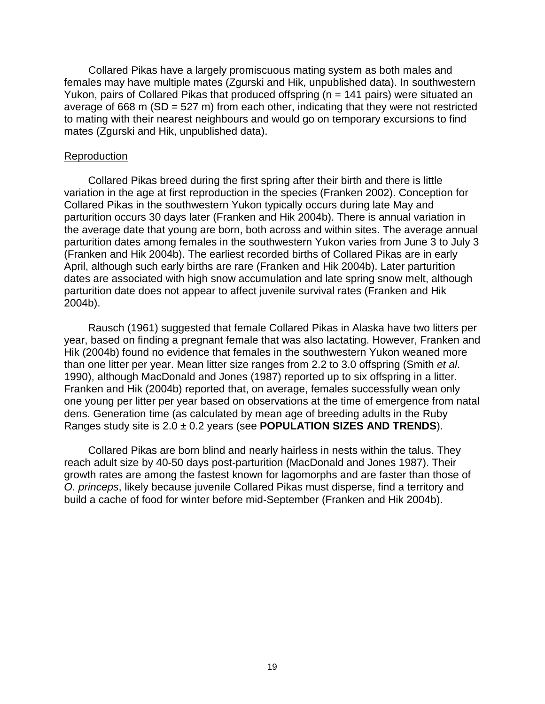Collared Pikas have a largely promiscuous mating system as both males and females may have multiple mates (Zgurski and Hik, unpublished data). In southwestern Yukon, pairs of Collared Pikas that produced offspring (n = 141 pairs) were situated an average of 668 m  $(SD = 527 \text{ m})$  from each other, indicating that they were not restricted to mating with their nearest neighbours and would go on temporary excursions to find mates (Zgurski and Hik, unpublished data).

#### **Reproduction**

Collared Pikas breed during the first spring after their birth and there is little variation in the age at first reproduction in the species (Franken 2002). Conception for Collared Pikas in the southwestern Yukon typically occurs during late May and parturition occurs 30 days later (Franken and Hik 2004b). There is annual variation in the average date that young are born, both across and within sites. The average annual parturition dates among females in the southwestern Yukon varies from June 3 to July 3 (Franken and Hik 2004b). The earliest recorded births of Collared Pikas are in early April, although such early births are rare (Franken and Hik 2004b). Later parturition dates are associated with high snow accumulation and late spring snow melt, although parturition date does not appear to affect juvenile survival rates (Franken and Hik 2004b).

Rausch (1961) suggested that female Collared Pikas in Alaska have two litters per year, based on finding a pregnant female that was also lactating. However, Franken and Hik (2004b) found no evidence that females in the southwestern Yukon weaned more than one litter per year. Mean litter size ranges from 2.2 to 3.0 offspring (Smith *et al*. 1990), although MacDonald and Jones (1987) reported up to six offspring in a litter. Franken and Hik (2004b) reported that, on average, females successfully wean only one young per litter per year based on observations at the time of emergence from natal dens. Generation time (as calculated by mean age of breeding adults in the Ruby Ranges study site is 2.0 ± 0.2 years (see **POPULATION SIZES AND TRENDS**).

Collared Pikas are born blind and nearly hairless in nests within the talus. They reach adult size by 40-50 days post-parturition (MacDonald and Jones 1987). Their growth rates are among the fastest known for lagomorphs and are faster than those of *O. princeps*, likely because juvenile Collared Pikas must disperse, find a territory and build a cache of food for winter before mid-September (Franken and Hik 2004b).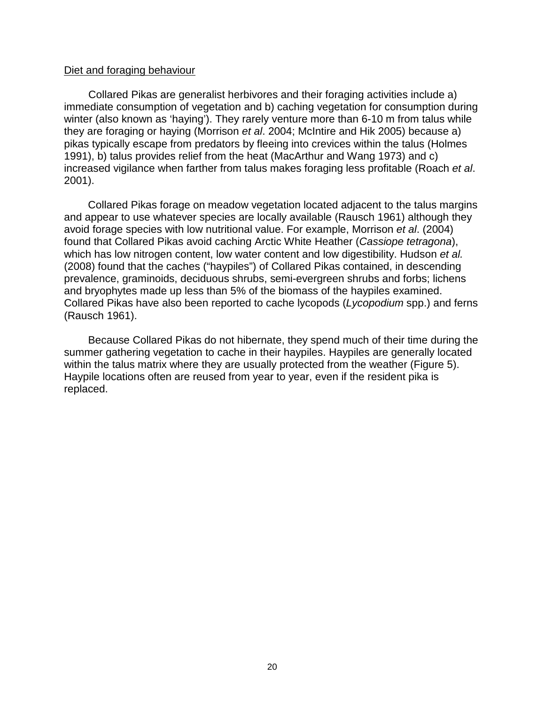#### Diet and foraging behaviour

Collared Pikas are generalist herbivores and their foraging activities include a) immediate consumption of vegetation and b) caching vegetation for consumption during winter (also known as 'haying'). They rarely venture more than 6-10 m from talus while they are foraging or haying (Morrison *et al*. 2004; McIntire and Hik 2005) because a) pikas typically escape from predators by fleeing into crevices within the talus (Holmes 1991), b) talus provides relief from the heat (MacArthur and Wang 1973) and c) increased vigilance when farther from talus makes foraging less profitable (Roach *et al*. 2001).

Collared Pikas forage on meadow vegetation located adjacent to the talus margins and appear to use whatever species are locally available (Rausch 1961) although they avoid forage species with low nutritional value. For example, Morrison *et al*. (2004) found that Collared Pikas avoid caching Arctic White Heather (*Cassiope tetragona*), which has low nitrogen content, low water content and low digestibility. Hudson *et al.* (2008) found that the caches ("haypiles") of Collared Pikas contained, in descending prevalence, graminoids, deciduous shrubs, semi-evergreen shrubs and forbs; lichens and bryophytes made up less than 5% of the biomass of the haypiles examined. Collared Pikas have also been reported to cache lycopods (*Lycopodium* spp.) and ferns (Rausch 1961).

Because Collared Pikas do not hibernate, they spend much of their time during the summer gathering vegetation to cache in their haypiles. Haypiles are generally located within the talus matrix where they are usually protected from the weather (Figure 5). Haypile locations often are reused from year to year, even if the resident pika is replaced.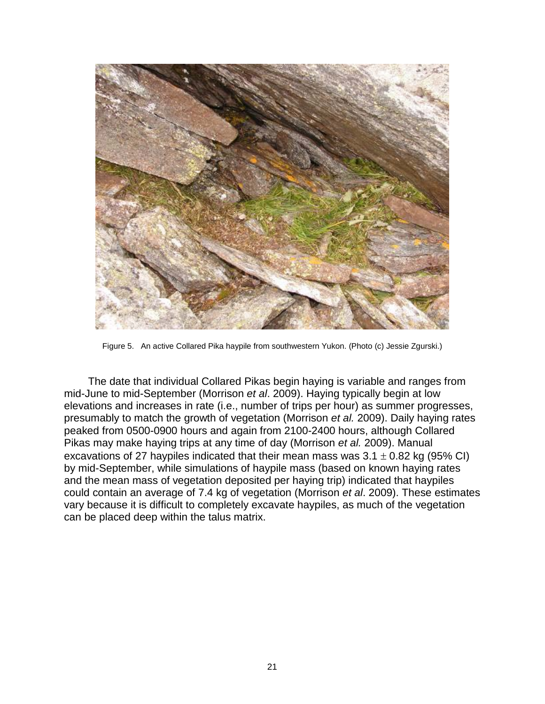

Figure 5. An active Collared Pika haypile from southwestern Yukon. (Photo (c) Jessie Zgurski.)

<span id="page-30-0"></span>The date that individual Collared Pikas begin haying is variable and ranges from mid-June to mid-September (Morrison *et al*. 2009). Haying typically begin at low elevations and increases in rate (i.e., number of trips per hour) as summer progresses, presumably to match the growth of vegetation (Morrison *et al.* 2009). Daily haying rates peaked from 0500-0900 hours and again from 2100-2400 hours, although Collared Pikas may make haying trips at any time of day (Morrison *et al.* 2009). Manual excavations of 27 haypiles indicated that their mean mass was  $3.1 \pm 0.82$  kg (95% CI) by mid-September, while simulations of haypile mass (based on known haying rates and the mean mass of vegetation deposited per haying trip) indicated that haypiles could contain an average of 7.4 kg of vegetation (Morrison *et al*. 2009). These estimates vary because it is difficult to completely excavate haypiles, as much of the vegetation can be placed deep within the talus matrix.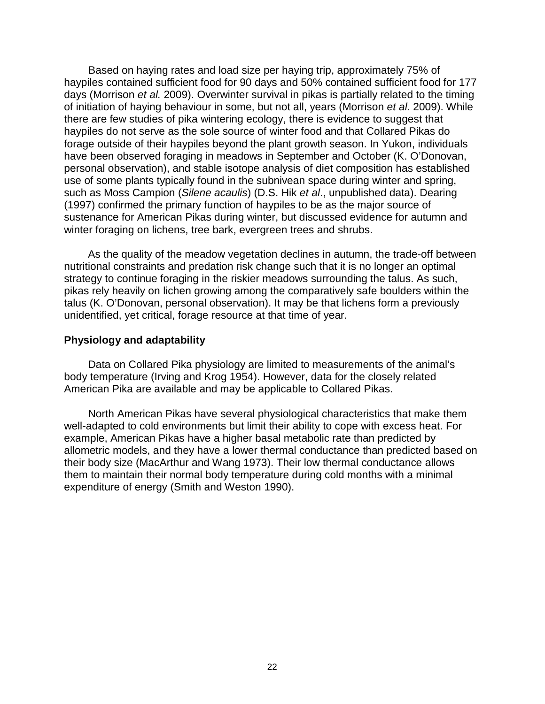Based on haying rates and load size per haying trip, approximately 75% of haypiles contained sufficient food for 90 days and 50% contained sufficient food for 177 days (Morrison *et al.* 2009). Overwinter survival in pikas is partially related to the timing of initiation of haying behaviour in some, but not all, years (Morrison *et al*. 2009). While there are few studies of pika wintering ecology, there is evidence to suggest that haypiles do not serve as the sole source of winter food and that Collared Pikas do forage outside of their haypiles beyond the plant growth season. In Yukon, individuals have been observed foraging in meadows in September and October (K. O'Donovan, personal observation), and stable isotope analysis of diet composition has established use of some plants typically found in the subnivean space during winter and spring, such as Moss Campion (*Silene acaulis*) (D.S. Hik *et al*., unpublished data). Dearing (1997) confirmed the primary function of haypiles to be as the major source of sustenance for American Pikas during winter, but discussed evidence for autumn and winter foraging on lichens, tree bark, evergreen trees and shrubs.

As the quality of the meadow vegetation declines in autumn, the trade-off between nutritional constraints and predation risk change such that it is no longer an optimal strategy to continue foraging in the riskier meadows surrounding the talus. As such, pikas rely heavily on lichen growing among the comparatively safe boulders within the talus (K. O'Donovan, personal observation). It may be that lichens form a previously unidentified, yet critical, forage resource at that time of year.

## <span id="page-31-0"></span>**Physiology and adaptability**

Data on Collared Pika physiology are limited to measurements of the animal's body temperature (Irving and Krog 1954). However, data for the closely related American Pika are available and may be applicable to Collared Pikas.

North American Pikas have several physiological characteristics that make them well-adapted to cold environments but limit their ability to cope with excess heat. For example, American Pikas have a higher basal metabolic rate than predicted by allometric models, and they have a lower thermal conductance than predicted based on their body size (MacArthur and Wang 1973). Their low thermal conductance allows them to maintain their normal body temperature during cold months with a minimal expenditure of energy (Smith and Weston 1990).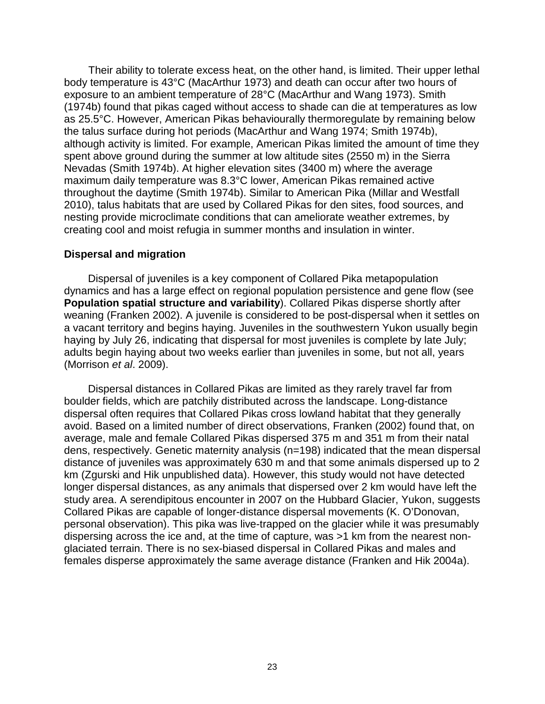Their ability to tolerate excess heat, on the other hand, is limited. Their upper lethal body temperature is 43°C (MacArthur 1973) and death can occur after two hours of exposure to an ambient temperature of 28°C (MacArthur and Wang 1973). Smith (1974b) found that pikas caged without access to shade can die at temperatures as low as 25.5°C. However, American Pikas behaviourally thermoregulate by remaining below the talus surface during hot periods (MacArthur and Wang 1974; Smith 1974b), although activity is limited. For example, American Pikas limited the amount of time they spent above ground during the summer at low altitude sites (2550 m) in the Sierra Nevadas (Smith 1974b). At higher elevation sites (3400 m) where the average maximum daily temperature was 8.3°C lower, American Pikas remained active throughout the daytime (Smith 1974b). Similar to American Pika (Millar and Westfall 2010), talus habitats that are used by Collared Pikas for den sites, food sources, and nesting provide microclimate conditions that can ameliorate weather extremes, by creating cool and moist refugia in summer months and insulation in winter.

#### <span id="page-32-0"></span>**Dispersal and migration**

Dispersal of juveniles is a key component of Collared Pika metapopulation dynamics and has a large effect on regional population persistence and gene flow (see **Population spatial structure and variability**). Collared Pikas disperse shortly after weaning (Franken 2002). A juvenile is considered to be post-dispersal when it settles on a vacant territory and begins haying. Juveniles in the southwestern Yukon usually begin haying by July 26, indicating that dispersal for most juveniles is complete by late July; adults begin haying about two weeks earlier than juveniles in some, but not all, years (Morrison *et al*. 2009).

Dispersal distances in Collared Pikas are limited as they rarely travel far from boulder fields, which are patchily distributed across the landscape. Long-distance dispersal often requires that Collared Pikas cross lowland habitat that they generally avoid. Based on a limited number of direct observations, Franken (2002) found that, on average, male and female Collared Pikas dispersed 375 m and 351 m from their natal dens, respectively. Genetic maternity analysis (n=198) indicated that the mean dispersal distance of juveniles was approximately 630 m and that some animals dispersed up to 2 km (Zgurski and Hik unpublished data). However, this study would not have detected longer dispersal distances, as any animals that dispersed over 2 km would have left the study area. A serendipitous encounter in 2007 on the Hubbard Glacier, Yukon, suggests Collared Pikas are capable of longer-distance dispersal movements (K. O'Donovan, personal observation). This pika was live-trapped on the glacier while it was presumably dispersing across the ice and, at the time of capture, was >1 km from the nearest nonglaciated terrain. There is no sex-biased dispersal in Collared Pikas and males and females disperse approximately the same average distance (Franken and Hik 2004a).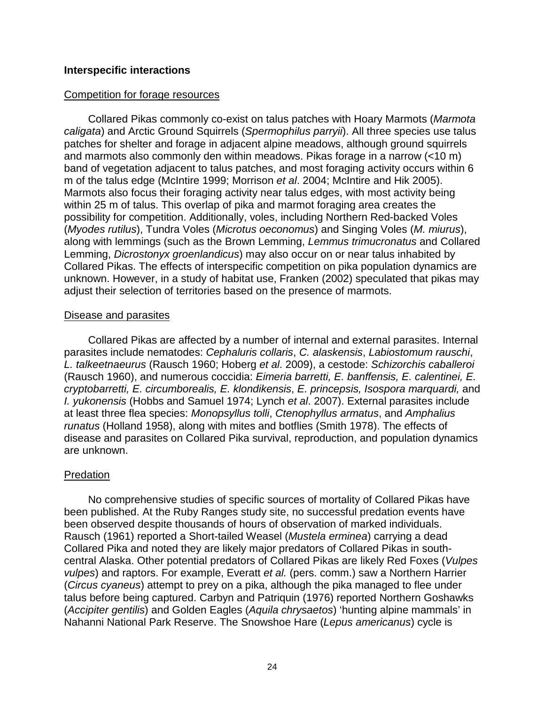## <span id="page-33-0"></span>**Interspecific interactions**

#### Competition for forage resources

Collared Pikas commonly co-exist on talus patches with Hoary Marmots (*Marmota caligata*) and Arctic Ground Squirrels (*Spermophilus parryii*). All three species use talus patches for shelter and forage in adjacent alpine meadows, although ground squirrels and marmots also commonly den within meadows. Pikas forage in a narrow (<10 m) band of vegetation adjacent to talus patches, and most foraging activity occurs within 6 m of the talus edge (McIntire 1999; Morrison *et al*. 2004; McIntire and Hik 2005). Marmots also focus their foraging activity near talus edges, with most activity being within 25 m of talus. This overlap of pika and marmot foraging area creates the possibility for competition. Additionally, voles, including Northern Red-backed Voles (*Myodes rutilus*), Tundra Voles (*Microtus oeconomus*) and Singing Voles (*M. miurus*), along with lemmings (such as the Brown Lemming, *Lemmus trimucronatus* and Collared Lemming, *Dicrostonyx groenlandicus*) may also occur on or near talus inhabited by Collared Pikas. The effects of interspecific competition on pika population dynamics are unknown. However, in a study of habitat use, Franken (2002) speculated that pikas may adjust their selection of territories based on the presence of marmots.

#### Disease and parasites

Collared Pikas are affected by a number of internal and external parasites. Internal parasites include nematodes: *Cephaluris collaris*, *C. alaskensis*, *Labiostomum rauschi*, *L. talkeetnaeurus* (Rausch 1960; Hoberg *et al*. 2009), a cestode: *Schizorchis caballeroi* (Rausch 1960), and numerous coccidia: *Eimeria barretti, E. banffensis, E. calentinei, E. cryptobarretti, E. circumborealis, E. klondikensis*, *E. princepsis, Isospora marquardi,* and *I. yukonensis* (Hobbs and Samuel 1974; Lynch *et al*. 2007). External parasites include at least three flea species: *Monopsyllus tolli*, *Ctenophyllus armatus*, and *Amphalius runatus* (Holland 1958), along with mites and botflies (Smith 1978). The effects of disease and parasites on Collared Pika survival, reproduction, and population dynamics are unknown.

#### **Predation**

No comprehensive studies of specific sources of mortality of Collared Pikas have been published. At the Ruby Ranges study site, no successful predation events have been observed despite thousands of hours of observation of marked individuals. Rausch (1961) reported a Short-tailed Weasel (*Mustela erminea*) carrying a dead Collared Pika and noted they are likely major predators of Collared Pikas in southcentral Alaska. Other potential predators of Collared Pikas are likely Red Foxes (*Vulpes vulpes*) and raptors. For example, Everatt *et al.* (pers. comm.) saw a Northern Harrier (*Circus cyaneus*) attempt to prey on a pika, although the pika managed to flee under talus before being captured. Carbyn and Patriquin (1976) reported Northern Goshawks (*Accipiter gentilis*) and Golden Eagles (*Aquila chrysaetos*) 'hunting alpine mammals' in Nahanni National Park Reserve. The Snowshoe Hare (*Lepus americanus*) cycle is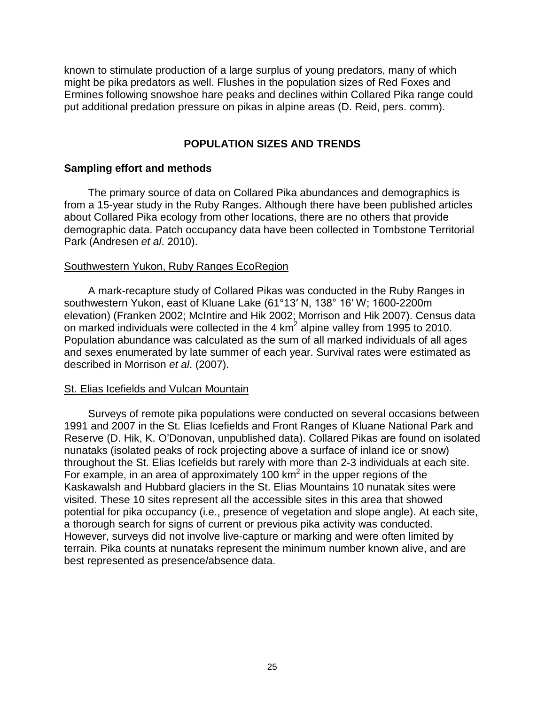known to stimulate production of a large surplus of young predators, many of which might be pika predators as well. Flushes in the population sizes of Red Foxes and Ermines following snowshoe hare peaks and declines within Collared Pika range could put additional predation pressure on pikas in alpine areas (D. Reid, pers. comm).

# **POPULATION SIZES AND TRENDS**

## <span id="page-34-1"></span><span id="page-34-0"></span>**Sampling effort and methods**

The primary source of data on Collared Pika abundances and demographics is from a 15-year study in the Ruby Ranges. Although there have been published articles about Collared Pika ecology from other locations, there are no others that provide demographic data. Patch occupancy data have been collected in Tombstone Territorial Park (Andresen *et al*. 2010).

## Southwestern Yukon, Ruby Ranges EcoRegion

A mark-recapture study of Collared Pikas was conducted in the Ruby Ranges in southwestern Yukon, east of Kluane Lake (61°13′ N, 138° 16′ W; 1600-2200m elevation) (Franken 2002; McIntire and Hik 2002; Morrison and Hik 2007). Census data on marked individuals were collected in the 4 km<sup>2</sup> alpine valley from 1995 to 2010. Population abundance was calculated as the sum of all marked individuals of all ages and sexes enumerated by late summer of each year. Survival rates were estimated as described in Morrison *et al*. (2007).

#### St. Elias Icefields and Vulcan Mountain

Surveys of remote pika populations were conducted on several occasions between 1991 and 2007 in the St. Elias Icefields and Front Ranges of Kluane National Park and Reserve (D. Hik, K. O'Donovan, unpublished data). Collared Pikas are found on isolated nunataks (isolated peaks of rock projecting above a surface of inland ice or snow) throughout the St. Elias Icefields but rarely with more than 2-3 individuals at each site. For example, in an area of approximately 100  $km^2$  in the upper regions of the Kaskawalsh and Hubbard glaciers in the St. Elias Mountains 10 nunatak sites were visited. These 10 sites represent all the accessible sites in this area that showed potential for pika occupancy (i.e., presence of vegetation and slope angle). At each site, a thorough search for signs of current or previous pika activity was conducted. However, surveys did not involve live-capture or marking and were often limited by terrain. Pika counts at nunataks represent the minimum number known alive, and are best represented as presence/absence data.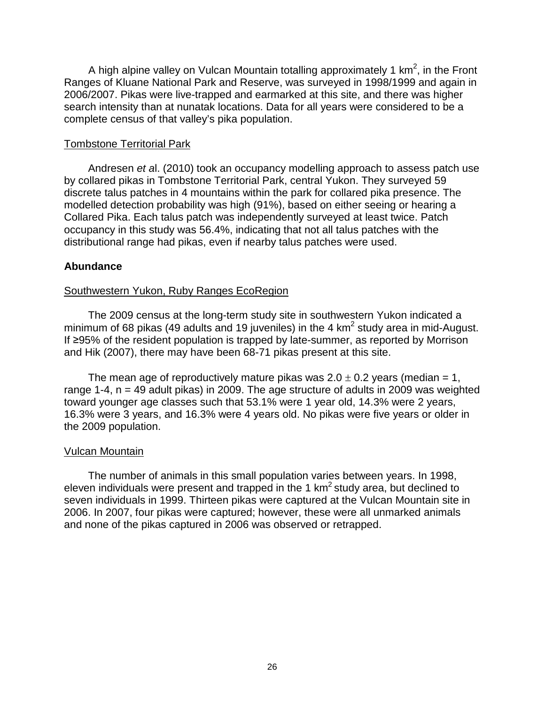A high alpine valley on Vulcan Mountain totalling approximately 1 km<sup>2</sup>, in the Front Ranges of Kluane National Park and Reserve, was surveyed in 1998/1999 and again in 2006/2007. Pikas were live-trapped and earmarked at this site, and there was higher search intensity than at nunatak locations. Data for all years were considered to be a complete census of that valley's pika population.

### Tombstone Territorial Park

Andresen *et a*l. (2010) took an occupancy modelling approach to assess patch use by collared pikas in Tombstone Territorial Park, central Yukon. They surveyed 59 discrete talus patches in 4 mountains within the park for collared pika presence. The modelled detection probability was high (91%), based on either seeing or hearing a Collared Pika. Each talus patch was independently surveyed at least twice. Patch occupancy in this study was 56.4%, indicating that not all talus patches with the distributional range had pikas, even if nearby talus patches were used.

## <span id="page-35-0"></span>**Abundance**

## Southwestern Yukon, Ruby Ranges EcoRegion

The 2009 census at the long-term study site in southwestern Yukon indicated a minimum of 68 pikas (49 adults and 19 juveniles) in the 4 km<sup>2</sup> study area in mid-August. If ≥95% of the resident population is trapped by late-summer, as reported by Morrison and Hik (2007), there may have been 68-71 pikas present at this site.

The mean age of reproductively mature pikas was  $2.0 \pm 0.2$  years (median = 1, range 1-4,  $n = 49$  adult pikas) in 2009. The age structure of adults in 2009 was weighted toward younger age classes such that 53.1% were 1 year old, 14.3% were 2 years, 16.3% were 3 years, and 16.3% were 4 years old. No pikas were five years or older in the 2009 population.

#### Vulcan Mountain

The number of animals in this small population varies between years. In 1998, eleven individuals were present and trapped in the 1  $km^2$  study area, but declined to seven individuals in 1999. Thirteen pikas were captured at the Vulcan Mountain site in 2006. In 2007, four pikas were captured; however, these were all unmarked animals and none of the pikas captured in 2006 was observed or retrapped.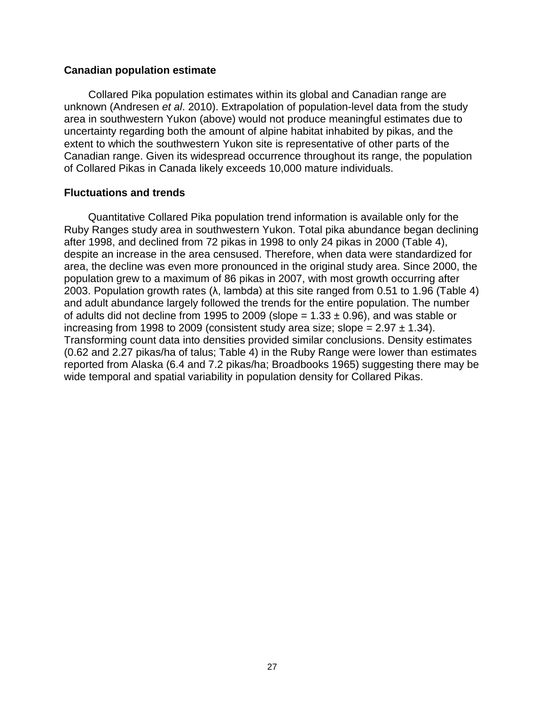#### <span id="page-36-0"></span>**Canadian population estimate**

Collared Pika population estimates within its global and Canadian range are unknown (Andresen *et al*. 2010). Extrapolation of population-level data from the study area in southwestern Yukon (above) would not produce meaningful estimates due to uncertainty regarding both the amount of alpine habitat inhabited by pikas, and the extent to which the southwestern Yukon site is representative of other parts of the Canadian range. Given its widespread occurrence throughout its range, the population of Collared Pikas in Canada likely exceeds 10,000 mature individuals.

#### <span id="page-36-1"></span>**Fluctuations and trends**

Quantitative Collared Pika population trend information is available only for the Ruby Ranges study area in southwestern Yukon. Total pika abundance began declining after 1998, and declined from 72 pikas in 1998 to only 24 pikas in 2000 (Table 4), despite an increase in the area censused. Therefore, when data were standardized for area, the decline was even more pronounced in the original study area. Since 2000, the population grew to a maximum of 86 pikas in 2007, with most growth occurring after 2003. Population growth rates ( $\lambda$ , lambda) at this site ranged from 0.51 to 1.96 (Table 4) and adult abundance largely followed the trends for the entire population. The number of adults did not decline from 1995 to 2009 (slope =  $1.33 \pm 0.96$ ), and was stable or increasing from 1998 to 2009 (consistent study area size; slope =  $2.97 \pm 1.34$ ). Transforming count data into densities provided similar conclusions. Density estimates (0.62 and 2.27 pikas/ha of talus; Table 4) in the Ruby Range were lower than estimates reported from Alaska (6.4 and 7.2 pikas/ha; Broadbooks 1965) suggesting there may be wide temporal and spatial variability in population density for Collared Pikas.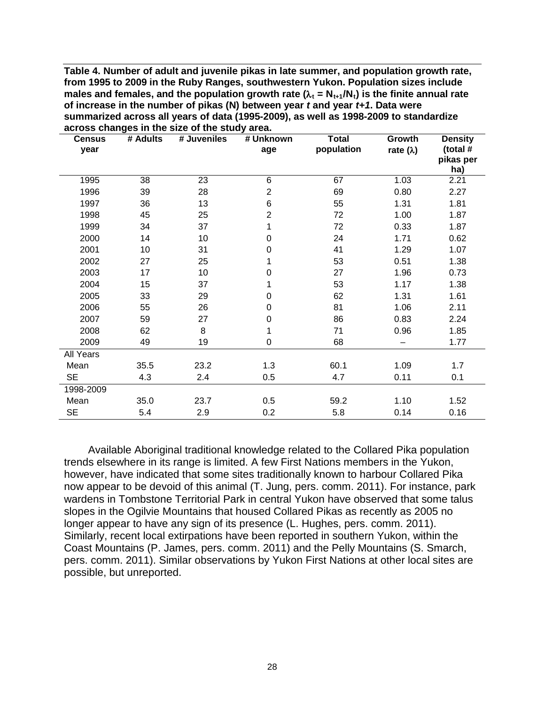<span id="page-37-0"></span>**Table 4. Number of adult and juvenile pikas in late summer, and population growth rate, from 1995 to 2009 in the Ruby Ranges, southwestern Yukon. Population sizes include males and females, and the population growth rate (** $λ_{\text{t}} = N_{\text{t+1}}/N_{\text{t}}$ **) is the finite annual rate of increase in the number of pikas (N) between year** *t* **and year** *t+1***. Data were summarized across all years of data (1995-2009), as well as 1998-2009 to standardize across changes in the size of the study area.**

| <b>Census</b> | # Adults | # Juveniles | # Unknown        | <b>Total</b> | Growth           | <b>Density</b>        |
|---------------|----------|-------------|------------------|--------------|------------------|-----------------------|
| year          |          |             | age              | population   | rate $(\lambda)$ | (total #<br>pikas per |
|               |          |             |                  |              |                  | ha)                   |
| 1995          | 38       | 23          | 6                | 67           | 1.03             | 2.21                  |
| 1996          | 39       | 28          | $\overline{2}$   | 69           | 0.80             | 2.27                  |
| 1997          | 36       | 13          | 6                | 55           | 1.31             | 1.81                  |
| 1998          | 45       | 25          | $\overline{2}$   | 72           | 1.00             | 1.87                  |
| 1999          | 34       | 37          | 1                | 72           | 0.33             | 1.87                  |
| 2000          | 14       | 10          | 0                | 24           | 1.71             | 0.62                  |
| 2001          | 10       | 31          | $\mathbf 0$      | 41           | 1.29             | 1.07                  |
| 2002          | 27       | 25          | 1                | 53           | 0.51             | 1.38                  |
| 2003          | 17       | 10          | $\boldsymbol{0}$ | 27           | 1.96             | 0.73                  |
| 2004          | 15       | 37          | 1                | 53           | 1.17             | 1.38                  |
| 2005          | 33       | 29          | $\boldsymbol{0}$ | 62           | 1.31             | 1.61                  |
| 2006          | 55       | 26          | $\boldsymbol{0}$ | 81           | 1.06             | 2.11                  |
| 2007          | 59       | 27          | $\boldsymbol{0}$ | 86           | 0.83             | 2.24                  |
| 2008          | 62       | 8           | 1                | 71           | 0.96             | 1.85                  |
| 2009          | 49       | 19          | $\boldsymbol{0}$ | 68           |                  | 1.77                  |
| All Years     |          |             |                  |              |                  |                       |
| Mean          | 35.5     | 23.2        | 1.3              | 60.1         | 1.09             | 1.7                   |
| <b>SE</b>     | 4.3      | 2.4         | 0.5              | 4.7          | 0.11             | 0.1                   |
| 1998-2009     |          |             |                  |              |                  |                       |
| Mean          | 35.0     | 23.7        | 0.5              | 59.2         | 1.10             | 1.52                  |
| <b>SE</b>     | 5.4      | 2.9         | 0.2              | 5.8          | 0.14             | 0.16                  |

Available Aboriginal traditional knowledge related to the Collared Pika population trends elsewhere in its range is limited. A few First Nations members in the Yukon, however, have indicated that some sites traditionally known to harbour Collared Pika now appear to be devoid of this animal (T. Jung, pers. comm. 2011). For instance, park wardens in Tombstone Territorial Park in central Yukon have observed that some talus slopes in the Ogilvie Mountains that housed Collared Pikas as recently as 2005 no longer appear to have any sign of its presence (L. Hughes, pers. comm. 2011). Similarly, recent local extirpations have been reported in southern Yukon, within the Coast Mountains (P. James, pers. comm. 2011) and the Pelly Mountains (S. Smarch, pers. comm. 2011). Similar observations by Yukon First Nations at other local sites are possible, but unreported.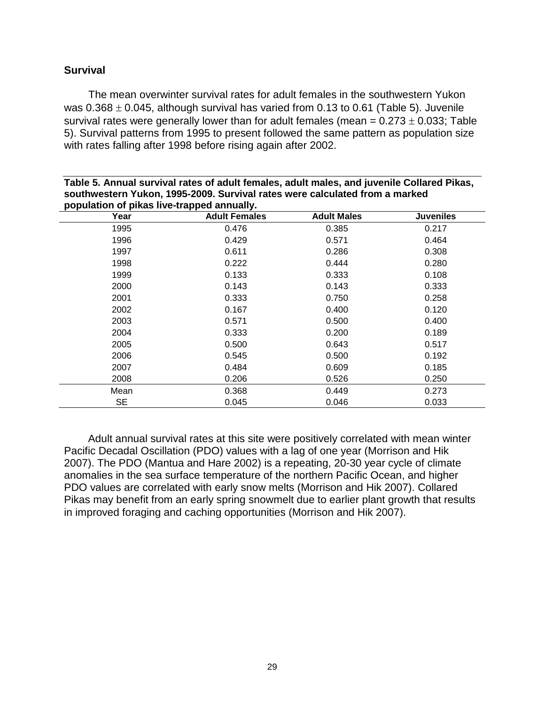# <span id="page-38-0"></span>**Survival**

The mean overwinter survival rates for adult females in the southwestern Yukon was  $0.368 \pm 0.045$ , although survival has varied from 0.13 to 0.61 (Table 5). Juvenile survival rates were generally lower than for adult females (mean =  $0.273 \pm 0.033$ ; Table 5). Survival patterns from 1995 to present followed the same pattern as population size with rates falling after 1998 before rising again after 2002.

| population of pikas live-trapped annually. |                      |                    |                  |  |  |  |  |  |  |  |
|--------------------------------------------|----------------------|--------------------|------------------|--|--|--|--|--|--|--|
| Year                                       | <b>Adult Females</b> | <b>Adult Males</b> | <b>Juveniles</b> |  |  |  |  |  |  |  |
| 1995                                       | 0.476                | 0.385              | 0.217            |  |  |  |  |  |  |  |
| 1996                                       | 0.429                | 0.571              | 0.464            |  |  |  |  |  |  |  |
| 1997                                       | 0.611                | 0.286              | 0.308            |  |  |  |  |  |  |  |
| 1998                                       | 0.222                | 0.444              | 0.280            |  |  |  |  |  |  |  |
| 1999                                       | 0.133                | 0.333              | 0.108            |  |  |  |  |  |  |  |
| 2000                                       | 0.143                | 0.143              | 0.333            |  |  |  |  |  |  |  |
| 2001                                       | 0.333                | 0.750              | 0.258            |  |  |  |  |  |  |  |
| 2002                                       | 0.167                | 0.400              | 0.120            |  |  |  |  |  |  |  |
| 2003                                       | 0.571                | 0.500              | 0.400            |  |  |  |  |  |  |  |
| 2004                                       | 0.333                | 0.200              | 0.189            |  |  |  |  |  |  |  |
| 2005                                       | 0.500                | 0.643              | 0.517            |  |  |  |  |  |  |  |
| 2006                                       | 0.545                | 0.500              | 0.192            |  |  |  |  |  |  |  |
| 2007                                       | 0.484                | 0.609              | 0.185            |  |  |  |  |  |  |  |
| 2008                                       | 0.206                | 0.526              | 0.250            |  |  |  |  |  |  |  |
| Mean                                       | 0.368                | 0.449              | 0.273            |  |  |  |  |  |  |  |
| <b>SE</b>                                  | 0.045                | 0.046              | 0.033            |  |  |  |  |  |  |  |

<span id="page-38-1"></span>**Table 5. Annual survival rates of adult females, adult males, and juvenile Collared Pikas, southwestern Yukon, 1995-2009. Survival rates were calculated from a marked** 

Adult annual survival rates at this site were positively correlated with mean winter Pacific Decadal Oscillation (PDO) values with a lag of one year (Morrison and Hik 2007). The PDO (Mantua and Hare 2002) is a repeating, 20-30 year cycle of climate anomalies in the sea surface temperature of the northern Pacific Ocean, and higher PDO values are correlated with early snow melts (Morrison and Hik 2007). Collared Pikas may benefit from an early spring snowmelt due to earlier plant growth that results in improved foraging and caching opportunities (Morrison and Hik 2007).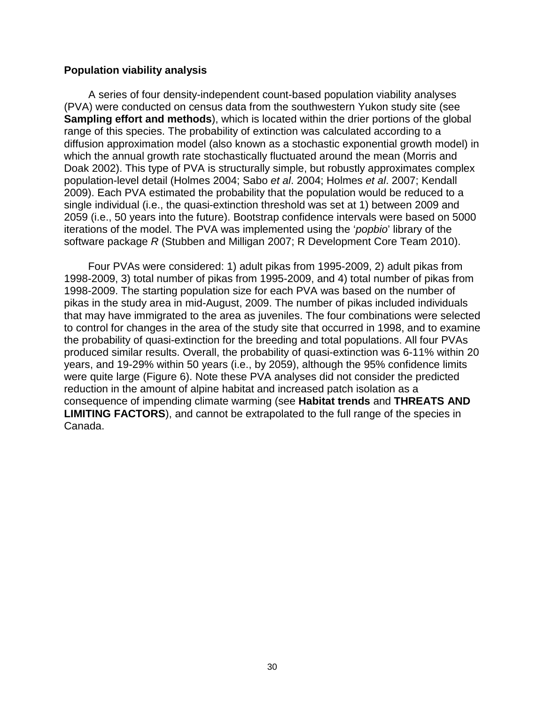### <span id="page-39-0"></span>**Population viability analysis**

A series of four density-independent count-based population viability analyses (PVA) were conducted on census data from the southwestern Yukon study site (see **Sampling effort and methods**), which is located within the drier portions of the global range of this species. The probability of extinction was calculated according to a diffusion approximation model (also known as a stochastic exponential growth model) in which the annual growth rate stochastically fluctuated around the mean (Morris and Doak 2002). This type of PVA is structurally simple, but robustly approximates complex population-level detail (Holmes 2004; Sabo *et al*. 2004; Holmes *et al*. 2007; Kendall 2009). Each PVA estimated the probability that the population would be reduced to a single individual (i.e., the quasi-extinction threshold was set at 1) between 2009 and 2059 (i.e., 50 years into the future). Bootstrap confidence intervals were based on 5000 iterations of the model. The PVA was implemented using the '*popbio*' library of the software package *R* (Stubben and Milligan 2007; R Development Core Team 2010).

Four PVAs were considered: 1) adult pikas from 1995-2009, 2) adult pikas from 1998-2009, 3) total number of pikas from 1995-2009, and 4) total number of pikas from 1998-2009. The starting population size for each PVA was based on the number of pikas in the study area in mid-August, 2009. The number of pikas included individuals that may have immigrated to the area as juveniles. The four combinations were selected to control for changes in the area of the study site that occurred in 1998, and to examine the probability of quasi-extinction for the breeding and total populations. All four PVAs produced similar results. Overall, the probability of quasi-extinction was 6-11% within 20 years, and 19-29% within 50 years (i.e., by 2059), although the 95% confidence limits were quite large (Figure 6). Note these PVA analyses did not consider the predicted reduction in the amount of alpine habitat and increased patch isolation as a consequence of impending climate warming (see **Habitat trends** and **THREATS AND LIMITING FACTORS**), and cannot be extrapolated to the full range of the species in Canada.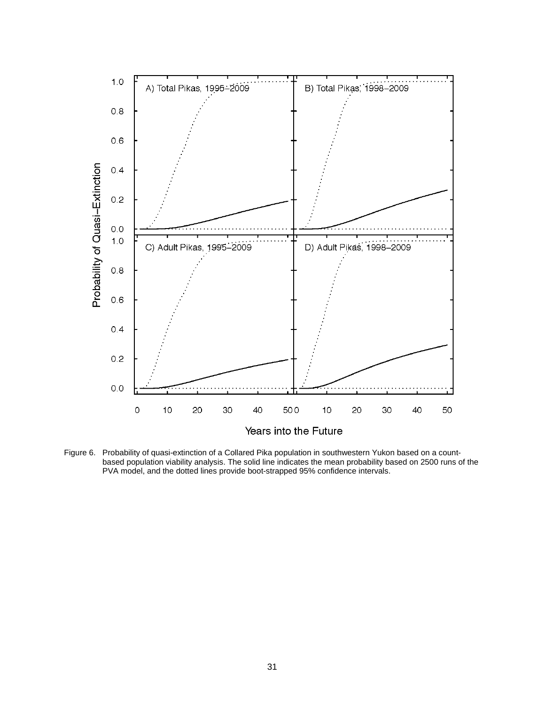

<span id="page-40-0"></span>Figure 6. Probability of quasi-extinction of a Collared Pika population in southwestern Yukon based on a countbased population viability analysis. The solid line indicates the mean probability based on 2500 runs of the PVA model, and the dotted lines provide boot-strapped 95% confidence intervals.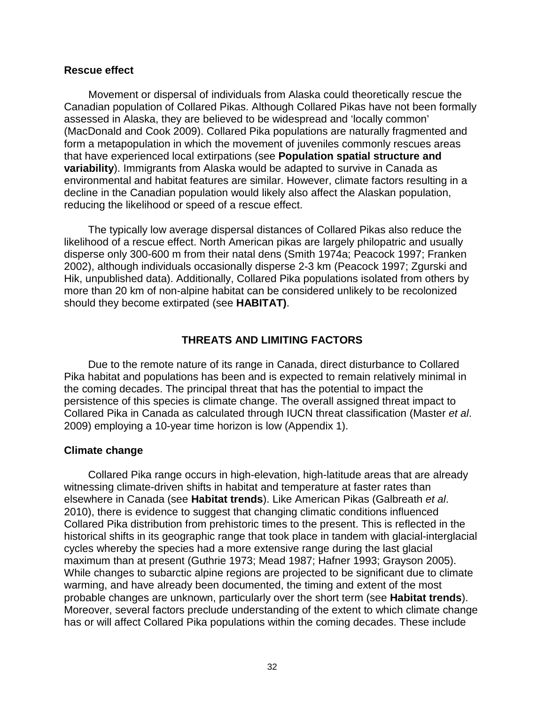#### <span id="page-41-0"></span>**Rescue effect**

Movement or dispersal of individuals from Alaska could theoretically rescue the Canadian population of Collared Pikas. Although Collared Pikas have not been formally assessed in Alaska, they are believed to be widespread and 'locally common' (MacDonald and Cook 2009). Collared Pika populations are naturally fragmented and form a metapopulation in which the movement of juveniles commonly rescues areas that have experienced local extirpations (see **Population spatial structure and variability**). Immigrants from Alaska would be adapted to survive in Canada as environmental and habitat features are similar. However, climate factors resulting in a decline in the Canadian population would likely also affect the Alaskan population, reducing the likelihood or speed of a rescue effect.

The typically low average dispersal distances of Collared Pikas also reduce the likelihood of a rescue effect. North American pikas are largely philopatric and usually disperse only 300-600 m from their natal dens (Smith 1974a; Peacock 1997; Franken 2002), although individuals occasionally disperse 2-3 km (Peacock 1997; Zgurski and Hik, unpublished data). Additionally, Collared Pika populations isolated from others by more than 20 km of non-alpine habitat can be considered unlikely to be recolonized should they become extirpated (see **HABITAT)**.

#### **THREATS AND LIMITING FACTORS**

<span id="page-41-1"></span>Due to the remote nature of its range in Canada, direct disturbance to Collared Pika habitat and populations has been and is expected to remain relatively minimal in the coming decades. The principal threat that has the potential to impact the persistence of this species is climate change. The overall assigned threat impact to Collared Pika in Canada as calculated through IUCN threat classification (Master *et al*. 2009) employing a 10-year time horizon is low (Appendix 1).

#### <span id="page-41-2"></span>**Climate change**

Collared Pika range occurs in high-elevation, high-latitude areas that are already witnessing climate-driven shifts in habitat and temperature at faster rates than elsewhere in Canada (see **Habitat trends**). Like American Pikas (Galbreath *et al*. 2010), there is evidence to suggest that changing climatic conditions influenced Collared Pika distribution from prehistoric times to the present. This is reflected in the historical shifts in its geographic range that took place in tandem with glacial-interglacial cycles whereby the species had a more extensive range during the last glacial maximum than at present (Guthrie 1973; Mead 1987; Hafner 1993; Grayson 2005). While changes to subarctic alpine regions are projected to be significant due to climate warming, and have already been documented, the timing and extent of the most probable changes are unknown, particularly over the short term (see **Habitat trends**). Moreover, several factors preclude understanding of the extent to which climate change has or will affect Collared Pika populations within the coming decades. These include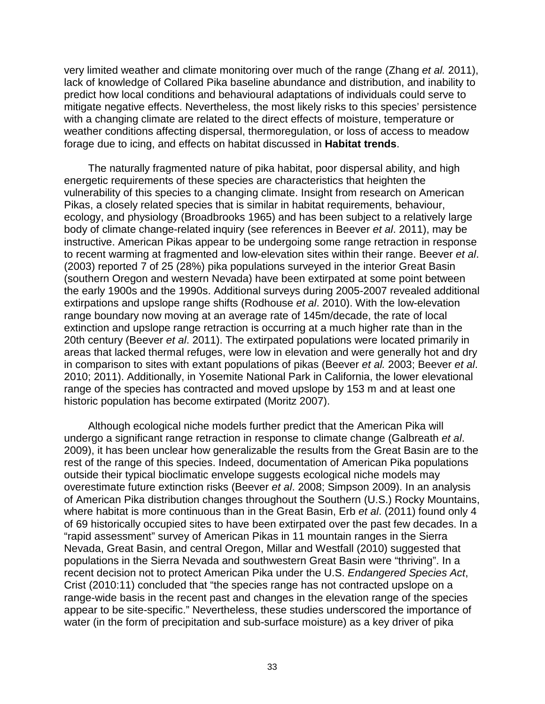very limited weather and climate monitoring over much of the range (Zhang *et al.* 2011), lack of knowledge of Collared Pika baseline abundance and distribution, and inability to predict how local conditions and behavioural adaptations of individuals could serve to mitigate negative effects. Nevertheless, the most likely risks to this species' persistence with a changing climate are related to the direct effects of moisture, temperature or weather conditions affecting dispersal, thermoregulation, or loss of access to meadow forage due to icing, and effects on habitat discussed in **Habitat trends**.

The naturally fragmented nature of pika habitat, poor dispersal ability, and high energetic requirements of these species are characteristics that heighten the vulnerability of this species to a changing climate. Insight from research on American Pikas, a closely related species that is similar in habitat requirements, behaviour, ecology, and physiology (Broadbrooks 1965) and has been subject to a relatively large body of climate change-related inquiry (see references in Beever *et al*. 2011), may be instructive. American Pikas appear to be undergoing some range retraction in response to recent warming at fragmented and low-elevation sites within their range. Beever *et al*. (2003) reported 7 of 25 (28%) pika populations surveyed in the interior Great Basin (southern Oregon and western Nevada) have been extirpated at some point between the early 1900s and the 1990s. Additional surveys during 2005-2007 revealed additional extirpations and upslope range shifts (Rodhouse *et al*. 2010). With the low-elevation range boundary now moving at an average rate of 145m/decade, the rate of local extinction and upslope range retraction is occurring at a much higher rate than in the 20th century (Beever *et al*. 2011). The extirpated populations were located primarily in areas that lacked thermal refuges, were low in elevation and were generally hot and dry in comparison to sites with extant populations of pikas (Beever *et al.* 2003; Beever *et al*. 2010; 2011). Additionally, in Yosemite National Park in California, the lower elevational range of the species has contracted and moved upslope by 153 m and at least one historic population has become extirpated (Moritz 2007).

Although ecological niche models further predict that the American Pika will undergo a significant range retraction in response to climate change (Galbreath *et al*. 2009), it has been unclear how generalizable the results from the Great Basin are to the rest of the range of this species. Indeed, documentation of American Pika populations outside their typical bioclimatic envelope suggests ecological niche models may overestimate future extinction risks (Beever *et al*. 2008; Simpson 2009). In an analysis of American Pika distribution changes throughout the Southern (U.S.) Rocky Mountains, where habitat is more continuous than in the Great Basin, Erb *et al*. (2011) found only 4 of 69 historically occupied sites to have been extirpated over the past few decades. In a "rapid assessment" survey of American Pikas in 11 mountain ranges in the Sierra Nevada, Great Basin, and central Oregon, Millar and Westfall (2010) suggested that populations in the Sierra Nevada and southwestern Great Basin were "thriving". In a recent decision not to protect American Pika under the U.S. *Endangered Species Act*, Crist (2010:11) concluded that "the species range has not contracted upslope on a range-wide basis in the recent past and changes in the elevation range of the species appear to be site-specific." Nevertheless, these studies underscored the importance of water (in the form of precipitation and sub-surface moisture) as a key driver of pika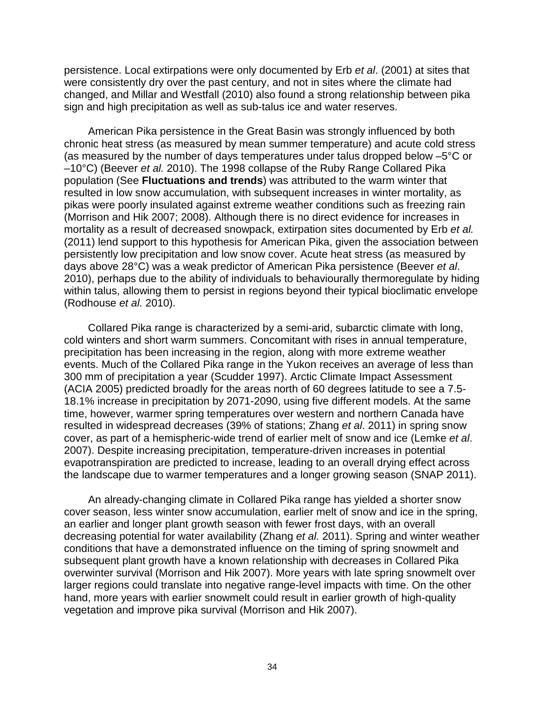persistence. Local extirpations were only documented by Erb *et al*. (2001) at sites that were consistently dry over the past century, and not in sites where the climate had changed, and Millar and Westfall (2010) also found a strong relationship between pika sign and high precipitation as well as sub-talus ice and water reserves.

American Pika persistence in the Great Basin was strongly influenced by both chronic heat stress (as measured by mean summer temperature) and acute cold stress (as measured by the number of days temperatures under talus dropped below –5°C or –10°C) (Beever *et al.* 2010). The 1998 collapse of the Ruby Range Collared Pika population (See **Fluctuations and trends**) was attributed to the warm winter that resulted in low snow accumulation, with subsequent increases in winter mortality, as pikas were poorly insulated against extreme weather conditions such as freezing rain (Morrison and Hik 2007; 2008). Although there is no direct evidence for increases in mortality as a result of decreased snowpack, extirpation sites documented by Erb *et al.* (2011) lend support to this hypothesis for American Pika, given the association between persistently low precipitation and low snow cover. Acute heat stress (as measured by days above 28°C) was a weak predictor of American Pika persistence (Beever *et al*. 2010), perhaps due to the ability of individuals to behaviourally thermoregulate by hiding within talus, allowing them to persist in regions beyond their typical bioclimatic envelope (Rodhouse *et al.* 2010).

Collared Pika range is characterized by a semi-arid, subarctic climate with long, cold winters and short warm summers. Concomitant with rises in annual temperature, precipitation has been increasing in the region, along with more extreme weather events. Much of the Collared Pika range in the Yukon receives an average of less than 300 mm of precipitation a year (Scudder 1997). Arctic Climate Impact Assessment (ACIA 2005) predicted broadly for the areas north of 60 degrees latitude to see a 7.5- 18.1% increase in precipitation by 2071-2090, using five different models. At the same time, however, warmer spring temperatures over western and northern Canada have resulted in widespread decreases (39% of stations; Zhang *et al*. 2011) in spring snow cover, as part of a hemispheric-wide trend of earlier melt of snow and ice (Lemke *et al*. 2007). Despite increasing precipitation, temperature-driven increases in potential evapotranspiration are predicted to increase, leading to an overall drying effect across the landscape due to warmer temperatures and a longer growing season (SNAP 2011).

An already-changing climate in Collared Pika range has yielded a shorter snow cover season, less winter snow accumulation, earlier melt of snow and ice in the spring, an earlier and longer plant growth season with fewer frost days, with an overall decreasing potential for water availability (Zhang *et al.* 2011). Spring and winter weather conditions that have a demonstrated influence on the timing of spring snowmelt and subsequent plant growth have a known relationship with decreases in Collared Pika overwinter survival (Morrison and Hik 2007). More years with late spring snowmelt over larger regions could translate into negative range-level impacts with time. On the other hand, more years with earlier snowmelt could result in earlier growth of high-quality vegetation and improve pika survival (Morrison and Hik 2007).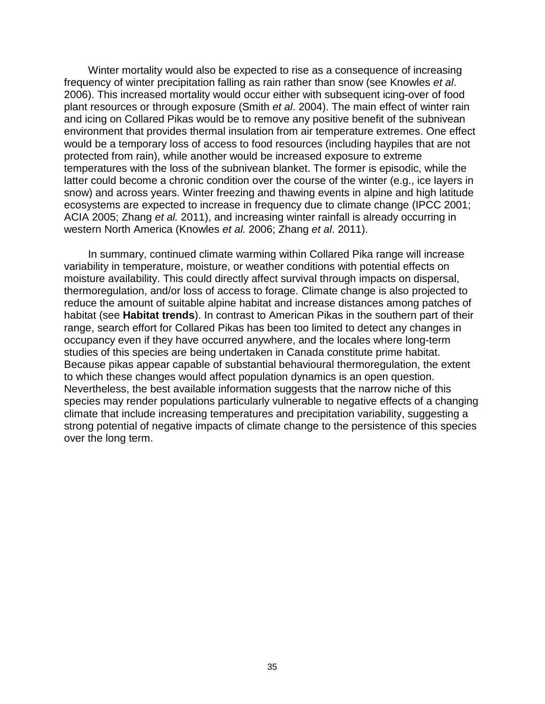Winter mortality would also be expected to rise as a consequence of increasing frequency of winter precipitation falling as rain rather than snow (see Knowles *et al*. 2006). This increased mortality would occur either with subsequent icing-over of food plant resources or through exposure (Smith *et al*. 2004). The main effect of winter rain and icing on Collared Pikas would be to remove any positive benefit of the subnivean environment that provides thermal insulation from air temperature extremes. One effect would be a temporary loss of access to food resources (including haypiles that are not protected from rain), while another would be increased exposure to extreme temperatures with the loss of the subnivean blanket. The former is episodic, while the latter could become a chronic condition over the course of the winter (e.g., ice layers in snow) and across years. Winter freezing and thawing events in alpine and high latitude ecosystems are expected to increase in frequency due to climate change (IPCC 2001; ACIA 2005; Zhang *et al.* 2011), and increasing winter rainfall is already occurring in western North America (Knowles *et al.* 2006; Zhang *et al*. 2011).

In summary, continued climate warming within Collared Pika range will increase variability in temperature, moisture, or weather conditions with potential effects on moisture availability. This could directly affect survival through impacts on dispersal, thermoregulation, and/or loss of access to forage. Climate change is also projected to reduce the amount of suitable alpine habitat and increase distances among patches of habitat (see **Habitat trends**). In contrast to American Pikas in the southern part of their range, search effort for Collared Pikas has been too limited to detect any changes in occupancy even if they have occurred anywhere, and the locales where long-term studies of this species are being undertaken in Canada constitute prime habitat. Because pikas appear capable of substantial behavioural thermoregulation, the extent to which these changes would affect population dynamics is an open question. Nevertheless, the best available information suggests that the narrow niche of this species may render populations particularly vulnerable to negative effects of a changing climate that include increasing temperatures and precipitation variability, suggesting a strong potential of negative impacts of climate change to the persistence of this species over the long term.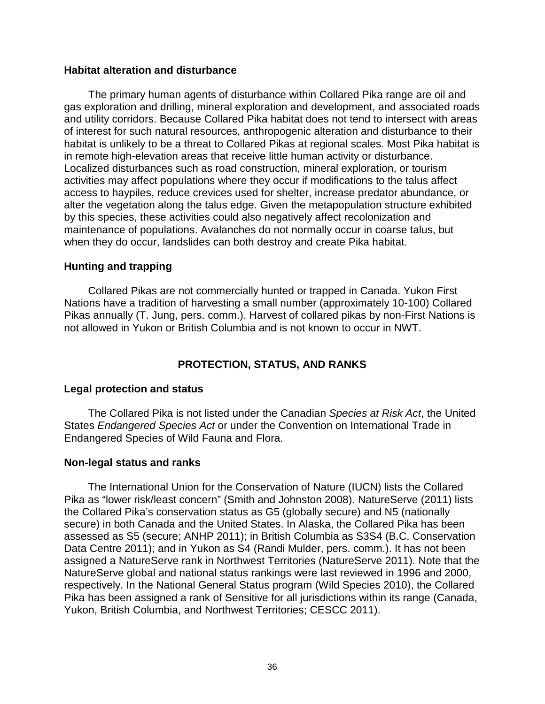### <span id="page-45-0"></span>**Habitat alteration and disturbance**

The primary human agents of disturbance within Collared Pika range are oil and gas exploration and drilling, mineral exploration and development, and associated roads and utility corridors. Because Collared Pika habitat does not tend to intersect with areas of interest for such natural resources, anthropogenic alteration and disturbance to their habitat is unlikely to be a threat to Collared Pikas at regional scales. Most Pika habitat is in remote high-elevation areas that receive little human activity or disturbance. Localized disturbances such as road construction, mineral exploration, or tourism activities may affect populations where they occur if modifications to the talus affect access to haypiles, reduce crevices used for shelter, increase predator abundance, or alter the vegetation along the talus edge. Given the metapopulation structure exhibited by this species, these activities could also negatively affect recolonization and maintenance of populations. Avalanches do not normally occur in coarse talus, but when they do occur, landslides can both destroy and create Pika habitat.

# <span id="page-45-1"></span>**Hunting and trapping**

Collared Pikas are not commercially hunted or trapped in Canada. Yukon First Nations have a tradition of harvesting a small number (approximately 10-100) Collared Pikas annually (T. Jung, pers. comm.). Harvest of collared pikas by non-First Nations is not allowed in Yukon or British Columbia and is not known to occur in NWT.

# **PROTECTION, STATUS, AND RANKS**

# <span id="page-45-3"></span><span id="page-45-2"></span>**Legal protection and status**

The Collared Pika is not listed under the Canadian *Species at Risk Act*, the United States *Endangered Species Act* or under the Convention on International Trade in Endangered Species of Wild Fauna and Flora.

# <span id="page-45-4"></span>**Non-legal status and ranks**

The International Union for the Conservation of Nature (IUCN) lists the Collared Pika as "lower risk/least concern" (Smith and Johnston 2008). NatureServe (2011) lists the Collared Pika's conservation status as G5 (globally secure) and N5 (nationally secure) in both Canada and the United States. In Alaska, the Collared Pika has been assessed as S5 (secure; ANHP 2011); in British Columbia as S3S4 (B.C. Conservation Data Centre 2011); and in Yukon as S4 (Randi Mulder, pers. comm.). It has not been assigned a NatureServe rank in Northwest Territories (NatureServe 2011). Note that the NatureServe global and national status rankings were last reviewed in 1996 and 2000, respectively. In the National General Status program (Wild Species 2010), the Collared Pika has been assigned a rank of Sensitive for all jurisdictions within its range (Canada, Yukon, British Columbia, and Northwest Territories; CESCC 2011).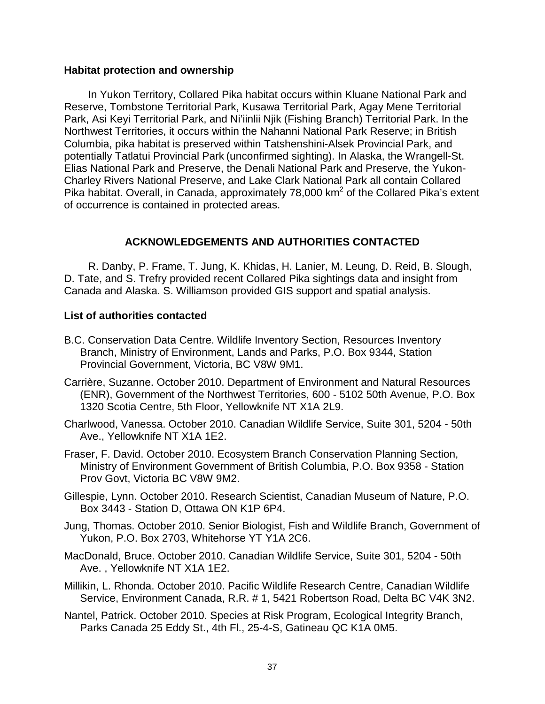### <span id="page-46-0"></span>**Habitat protection and ownership**

In Yukon Territory, Collared Pika habitat occurs within Kluane National Park and Reserve, Tombstone Territorial Park, Kusawa Territorial Park, Agay Mene Territorial Park, Asi Keyi Territorial Park, and Ni'iinlii Njik (Fishing Branch) Territorial Park. In the Northwest Territories, it occurs within the Nahanni National Park Reserve; in British Columbia, pika habitat is preserved within Tatshenshini-Alsek Provincial Park, and potentially Tatlatui Provincial Park (unconfirmed sighting). In Alaska, the Wrangell-St. Elias National Park and Preserve, the Denali National Park and Preserve, the Yukon-Charley Rivers National Preserve, and Lake Clark National Park all contain Collared Pika habitat. Overall, in Canada, approximately 78,000 km<sup>2</sup> of the Collared Pika's extent of occurrence is contained in protected areas.

# **ACKNOWLEDGEMENTS AND AUTHORITIES CONTACTED**

<span id="page-46-1"></span>R. Danby, P. Frame, T. Jung, K. Khidas, H. Lanier, M. Leung, D. Reid, B. Slough, D. Tate, and S. Trefry provided recent Collared Pika sightings data and insight from Canada and Alaska. S. Williamson provided GIS support and spatial analysis.

# <span id="page-46-2"></span>**List of authorities contacted**

- B.C. Conservation Data Centre. Wildlife Inventory Section, Resources Inventory Branch, Ministry of Environment, Lands and Parks, P.O. Box 9344, Station Provincial Government, Victoria, BC V8W 9M1.
- Carrière, Suzanne. October 2010. Department of Environment and Natural Resources (ENR), Government of the Northwest Territories, 600 - 5102 50th Avenue, P.O. Box 1320 Scotia Centre, 5th Floor, Yellowknife NT X1A 2L9.
- Charlwood, Vanessa. October 2010. Canadian Wildlife Service, Suite 301, 5204 50th Ave., Yellowknife NT X1A 1E2.
- Fraser, F. David. October 2010. Ecosystem Branch Conservation Planning Section, Ministry of Environment Government of British Columbia, P.O. Box 9358 - Station Prov Govt, Victoria BC V8W 9M2.
- Gillespie, Lynn. October 2010. Research Scientist, Canadian Museum of Nature, P.O. Box 3443 - Station D, Ottawa ON K1P 6P4.
- Jung, Thomas. October 2010. Senior Biologist, Fish and Wildlife Branch, Government of Yukon, P.O. Box 2703, Whitehorse YT Y1A 2C6.
- MacDonald, Bruce. October 2010. Canadian Wildlife Service, Suite 301, 5204 50th Ave. , Yellowknife NT X1A 1E2.
- Millikin, L. Rhonda. October 2010. Pacific Wildlife Research Centre, Canadian Wildlife Service, Environment Canada, R.R. # 1, 5421 Robertson Road, Delta BC V4K 3N2.
- Nantel, Patrick. October 2010. Species at Risk Program, Ecological Integrity Branch, Parks Canada 25 Eddy St., 4th Fl., 25-4-S, Gatineau QC K1A 0M5.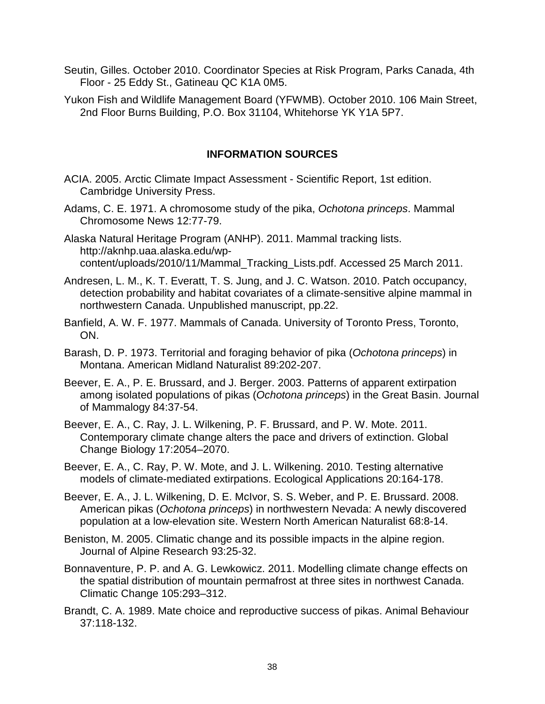- Seutin, Gilles. October 2010. Coordinator Species at Risk Program, Parks Canada, 4th Floor - 25 Eddy St., Gatineau QC K1A 0M5.
- Yukon Fish and Wildlife Management Board (YFWMB). October 2010. 106 Main Street, 2nd Floor Burns Building, P.O. Box 31104, Whitehorse YK Y1A 5P7.

# **INFORMATION SOURCES**

- <span id="page-47-0"></span>ACIA. 2005. Arctic Climate Impact Assessment - Scientific Report, 1st edition. Cambridge University Press.
- Adams, C. E. 1971. A chromosome study of the pika, *Ochotona princeps*. Mammal Chromosome News 12:77-79.
- Alaska Natural Heritage Program (ANHP). 2011. Mammal tracking lists. http://aknhp.uaa.alaska.edu/wpcontent/uploads/2010/11/Mammal\_Tracking\_Lists.pdf. Accessed 25 March 2011.
- Andresen, L. M., K. T. Everatt, T. S. Jung, and J. C. Watson. 2010. Patch occupancy, detection probability and habitat covariates of a climate-sensitive alpine mammal in northwestern Canada. Unpublished manuscript, pp.22.
- Banfield, A. W. F. 1977. Mammals of Canada. University of Toronto Press, Toronto, ON.
- Barash, D. P. 1973. Territorial and foraging behavior of pika (*Ochotona princeps*) in Montana. American Midland Naturalist 89:202-207.
- Beever, E. A., P. E. Brussard, and J. Berger. 2003. Patterns of apparent extirpation among isolated populations of pikas (*Ochotona princeps*) in the Great Basin. Journal of Mammalogy 84:37-54.
- Beever, E. A., C. Ray, J. L. Wilkening, P. F. Brussard, and P. W. Mote. 2011. Contemporary climate change alters the pace and drivers of extinction. Global Change Biology 17:2054–2070.
- Beever, E. A., C. Ray, P. W. Mote, and J. L. Wilkening. 2010. Testing alternative models of climate-mediated extirpations. Ecological Applications 20:164-178.
- Beever, E. A., J. L. Wilkening, D. E. McIvor, S. S. Weber, and P. E. Brussard. 2008. American pikas (*Ochotona princeps*) in northwestern Nevada: A newly discovered population at a low-elevation site. Western North American Naturalist 68:8-14.
- Beniston, M. 2005. Climatic change and its possible impacts in the alpine region. Journal of Alpine Research 93:25-32.
- Bonnaventure, P. P. and A. G. Lewkowicz. 2011. Modelling climate change effects on the spatial distribution of mountain permafrost at three sites in northwest Canada. Climatic Change 105:293–312.
- Brandt, C. A. 1989. Mate choice and reproductive success of pikas. Animal Behaviour 37:118-132.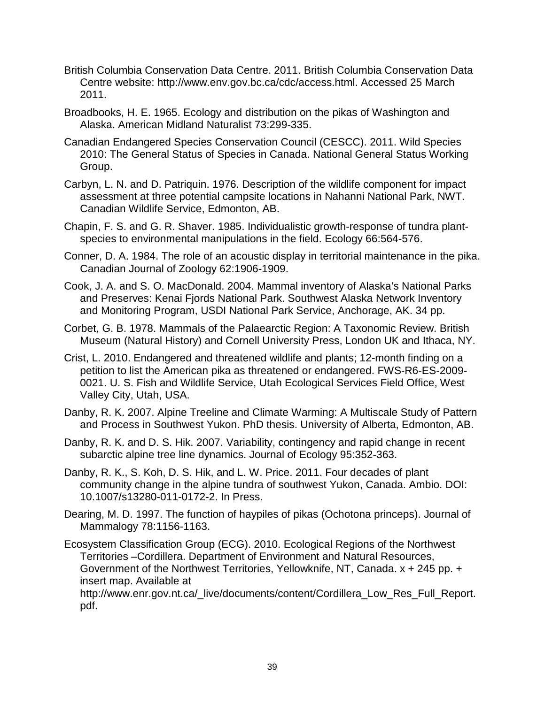- British Columbia Conservation Data Centre. 2011. British Columbia Conservation Data Centre website: http://www.env.gov.bc.ca/cdc/access.html. Accessed 25 March 2011.
- Broadbooks, H. E. 1965. Ecology and distribution on the pikas of Washington and Alaska. American Midland Naturalist 73:299-335.
- Canadian Endangered Species Conservation Council (CESCC). 2011. Wild Species 2010: The General Status of Species in Canada. National General Status Working Group.
- Carbyn, L. N. and D. Patriquin. 1976. Description of the wildlife component for impact assessment at three potential campsite locations in Nahanni National Park, NWT. Canadian Wildlife Service, Edmonton, AB.
- Chapin, F. S. and G. R. Shaver. 1985. Individualistic growth-response of tundra plantspecies to environmental manipulations in the field. Ecology 66:564-576.
- Conner, D. A. 1984. The role of an acoustic display in territorial maintenance in the pika. Canadian Journal of Zoology 62:1906-1909.
- Cook, J. A. and S. O. MacDonald. 2004. Mammal inventory of Alaska's National Parks and Preserves: Kenai Fjords National Park. Southwest Alaska Network Inventory and Monitoring Program, USDI National Park Service, Anchorage, AK. 34 pp.
- Corbet, G. B. 1978. Mammals of the Palaearctic Region: A Taxonomic Review. British Museum (Natural History) and Cornell University Press, London UK and Ithaca, NY.
- Crist, L. 2010. Endangered and threatened wildlife and plants; 12-month finding on a petition to list the American pika as threatened or endangered. FWS-R6-ES-2009- 0021. U. S. Fish and Wildlife Service, Utah Ecological Services Field Office, West Valley City, Utah, USA.
- Danby, R. K. 2007. Alpine Treeline and Climate Warming: A Multiscale Study of Pattern and Process in Southwest Yukon. PhD thesis. University of Alberta, Edmonton, AB.
- Danby, R. K. and D. S. Hik. 2007. Variability, contingency and rapid change in recent subarctic alpine tree line dynamics. Journal of Ecology 95:352-363.
- Danby, R. K., S. Koh, D. S. Hik, and L. W. Price. 2011. Four decades of plant community change in the alpine tundra of southwest Yukon, Canada. Ambio. DOI: 10.1007/s13280-011-0172-2. In Press.
- Dearing, M. D. 1997. The function of haypiles of pikas (Ochotona princeps). Journal of Mammalogy 78:1156-1163.
- Ecosystem Classification Group (ECG). 2010. Ecological Regions of the Northwest Territories –Cordillera. Department of Environment and Natural Resources, Government of the Northwest Territories, Yellowknife, NT, Canada. x + 245 pp. + insert map. Available at http://www.enr.gov.nt.ca/\_live/documents/content/Cordillera\_Low\_Res\_Full\_Report. pdf.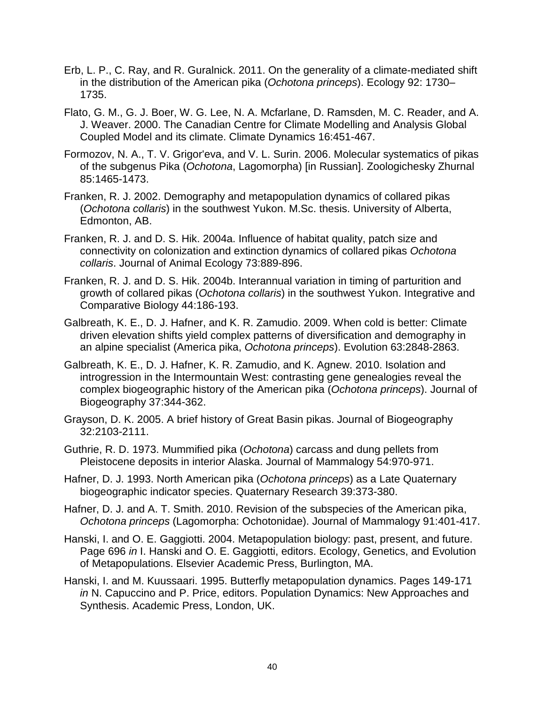- Erb, L. P., C. Ray, and R. Guralnick. 2011. On the generality of a climate-mediated shift in the distribution of the American pika (*Ochotona princeps*). Ecology 92: 1730– 1735.
- Flato, G. M., G. J. Boer, W. G. Lee, N. A. Mcfarlane, D. Ramsden, M. C. Reader, and A. J. Weaver. 2000. The Canadian Centre for Climate Modelling and Analysis Global Coupled Model and its climate. Climate Dynamics 16:451-467.
- Formozov, N. A., T. V. Grigor'eva, and V. L. Surin. 2006. Molecular systematics of pikas of the subgenus Pika (*Ochotona*, Lagomorpha) [in Russian]. Zoologichesky Zhurnal 85:1465-1473.
- Franken, R. J. 2002. Demography and metapopulation dynamics of collared pikas (*Ochotona collaris*) in the southwest Yukon. M.Sc. thesis. University of Alberta, Edmonton, AB.
- Franken, R. J. and D. S. Hik. 2004a. Influence of habitat quality, patch size and connectivity on colonization and extinction dynamics of collared pikas *Ochotona collaris*. Journal of Animal Ecology 73:889-896.
- Franken, R. J. and D. S. Hik. 2004b. Interannual variation in timing of parturition and growth of collared pikas (*Ochotona collaris*) in the southwest Yukon. Integrative and Comparative Biology 44:186-193.
- Galbreath, K. E., D. J. Hafner, and K. R. Zamudio. 2009. When cold is better: Climate driven elevation shifts yield complex patterns of diversification and demography in an alpine specialist (America pika, *Ochotona princeps*). Evolution 63:2848-2863.
- Galbreath, K. E., D. J. Hafner, K. R. Zamudio, and K. Agnew. 2010. Isolation and introgression in the Intermountain West: contrasting gene genealogies reveal the complex biogeographic history of the American pika (*Ochotona princeps*). Journal of Biogeography 37:344-362.
- Grayson, D. K. 2005. A brief history of Great Basin pikas. Journal of Biogeography 32:2103-2111.
- Guthrie, R. D. 1973. Mummified pika (*Ochotona*) carcass and dung pellets from Pleistocene deposits in interior Alaska. Journal of Mammalogy 54:970-971.
- Hafner, D. J. 1993. North American pika (*Ochotona princeps*) as a Late Quaternary biogeographic indicator species. Quaternary Research 39:373-380.
- Hafner, D. J. and A. T. Smith. 2010. Revision of the subspecies of the American pika, *Ochotona princeps* (Lagomorpha: Ochotonidae). Journal of Mammalogy 91:401-417.
- Hanski, I. and O. E. Gaggiotti. 2004. Metapopulation biology: past, present, and future. Page 696 *in* I. Hanski and O. E. Gaggiotti, editors. Ecology, Genetics, and Evolution of Metapopulations. Elsevier Academic Press, Burlington, MA.
- Hanski, I. and M. Kuussaari. 1995. Butterfly metapopulation dynamics. Pages 149-171 *in* N. Capuccino and P. Price, editors. Population Dynamics: New Approaches and Synthesis. Academic Press, London, UK.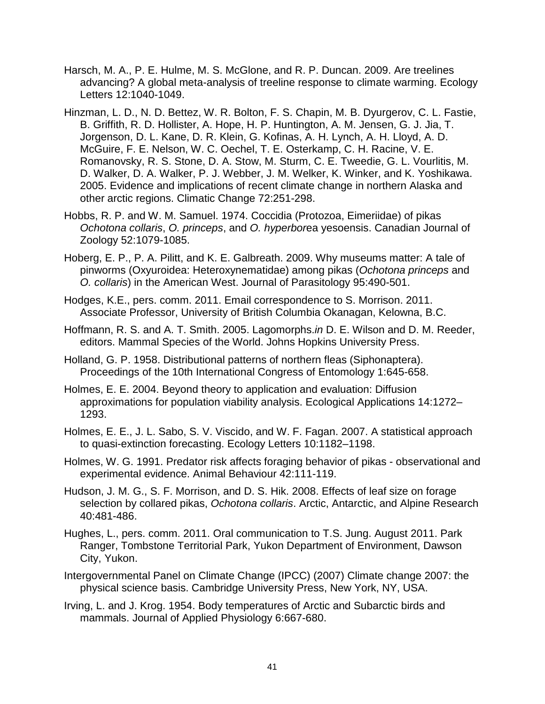- Harsch, M. A., P. E. Hulme, M. S. McGlone, and R. P. Duncan. 2009. Are treelines advancing? A global meta-analysis of treeline response to climate warming. Ecology Letters 12:1040-1049.
- Hinzman, L. D., N. D. Bettez, W. R. Bolton, F. S. Chapin, M. B. Dyurgerov, C. L. Fastie, B. Griffith, R. D. Hollister, A. Hope, H. P. Huntington, A. M. Jensen, G. J. Jia, T. Jorgenson, D. L. Kane, D. R. Klein, G. Kofinas, A. H. Lynch, A. H. Lloyd, A. D. McGuire, F. E. Nelson, W. C. Oechel, T. E. Osterkamp, C. H. Racine, V. E. Romanovsky, R. S. Stone, D. A. Stow, M. Sturm, C. E. Tweedie, G. L. Vourlitis, M. D. Walker, D. A. Walker, P. J. Webber, J. M. Welker, K. Winker, and K. Yoshikawa. 2005. Evidence and implications of recent climate change in northern Alaska and other arctic regions. Climatic Change 72:251-298.
- Hobbs, R. P. and W. M. Samuel. 1974. Coccidia (Protozoa, Eimeriidae) of pikas *Ochotona collaris*, *O. princeps*, and *O. hyperbor*ea yesoensis. Canadian Journal of Zoology 52:1079-1085.
- Hoberg, E. P., P. A. Pilitt, and K. E. Galbreath. 2009. Why museums matter: A tale of pinworms (Oxyuroidea: Heteroxynematidae) among pikas (*Ochotona princeps* and *O. collaris*) in the American West. Journal of Parasitology 95:490-501.
- Hodges, K.E., pers. comm. 2011. Email correspondence to S. Morrison. 2011. Associate Professor, University of British Columbia Okanagan, Kelowna, B.C.
- Hoffmann, R. S. and A. T. Smith. 2005. Lagomorphs.*in* D. E. Wilson and D. M. Reeder, editors. Mammal Species of the World. Johns Hopkins University Press.
- Holland, G. P. 1958. Distributional patterns of northern fleas (Siphonaptera). Proceedings of the 10th International Congress of Entomology 1:645-658.
- Holmes, E. E. 2004. Beyond theory to application and evaluation: Diffusion approximations for population viability analysis. Ecological Applications 14:1272– 1293.
- Holmes, E. E., J. L. Sabo, S. V. Viscido, and W. F. Fagan. 2007. A statistical approach to quasi-extinction forecasting. Ecology Letters 10:1182–1198.
- Holmes, W. G. 1991. Predator risk affects foraging behavior of pikas observational and experimental evidence. Animal Behaviour 42:111-119.
- Hudson, J. M. G., S. F. Morrison, and D. S. Hik. 2008. Effects of leaf size on forage selection by collared pikas, *Ochotona collaris*. Arctic, Antarctic, and Alpine Research 40:481-486.
- Hughes, L., pers. comm. 2011. Oral communication to T.S. Jung. August 2011. Park Ranger, Tombstone Territorial Park, Yukon Department of Environment, Dawson City, Yukon.
- Intergovernmental Panel on Climate Change (IPCC) (2007) Climate change 2007: the physical science basis. Cambridge University Press, New York, NY, USA.
- Irving, L. and J. Krog. 1954. Body temperatures of Arctic and Subarctic birds and mammals. Journal of Applied Physiology 6:667-680.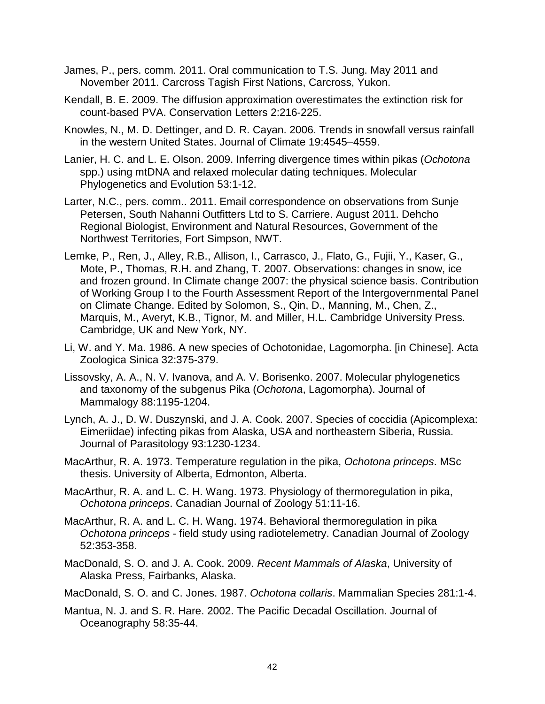- James, P., pers. comm. 2011. Oral communication to T.S. Jung. May 2011 and November 2011. Carcross Tagish First Nations, Carcross, Yukon.
- Kendall, B. E. 2009. The diffusion approximation overestimates the extinction risk for count-based PVA. Conservation Letters 2:216-225.
- Knowles, N., M. D. Dettinger, and D. R. Cayan. 2006. Trends in snowfall versus rainfall in the western United States. Journal of Climate 19:4545–4559.
- Lanier, H. C. and L. E. Olson. 2009. Inferring divergence times within pikas (*Ochotona* spp.) using mtDNA and relaxed molecular dating techniques. Molecular Phylogenetics and Evolution 53:1-12.
- Larter, N.C., pers. comm.. 2011. Email correspondence on observations from Sunje Petersen, South Nahanni Outfitters Ltd to S. Carriere. August 2011. Dehcho Regional Biologist, Environment and Natural Resources, Government of the Northwest Territories, Fort Simpson, NWT.
- Lemke, P., Ren, J., Alley, R.B., Allison, I., Carrasco, J., Flato, G., Fujii, Y., Kaser, G., Mote, P., Thomas, R.H. and Zhang, T. 2007. Observations: changes in snow, ice and frozen ground. In Climate change 2007: the physical science basis. Contribution of Working Group I to the Fourth Assessment Report of the Intergovernmental Panel on Climate Change. Edited by Solomon, S., Qin, D., Manning, M., Chen, Z., Marquis, M., Averyt, K.B., Tignor, M. and Miller, H.L. Cambridge University Press. Cambridge, UK and New York, NY.
- Li, W. and Y. Ma. 1986. A new species of Ochotonidae, Lagomorpha. [in Chinese]. Acta Zoologica Sinica 32:375-379.
- Lissovsky, A. A., N. V. Ivanova, and A. V. Borisenko. 2007. Molecular phylogenetics and taxonomy of the subgenus Pika (*Ochotona*, Lagomorpha). Journal of Mammalogy 88:1195-1204.
- Lynch, A. J., D. W. Duszynski, and J. A. Cook. 2007. Species of coccidia (Apicomplexa: Eimeriidae) infecting pikas from Alaska, USA and northeastern Siberia, Russia. Journal of Parasitology 93:1230-1234.
- MacArthur, R. A. 1973. Temperature regulation in the pika, *Ochotona princeps*. MSc thesis. University of Alberta, Edmonton, Alberta.
- MacArthur, R. A. and L. C. H. Wang. 1973. Physiology of thermoregulation in pika, *Ochotona princeps*. Canadian Journal of Zoology 51:11-16.
- MacArthur, R. A. and L. C. H. Wang. 1974. Behavioral thermoregulation in pika *Ochotona princeps* - field study using radiotelemetry. Canadian Journal of Zoology 52:353-358.
- MacDonald, S. O. and J. A. Cook. 2009. *Recent Mammals of Alaska*, University of Alaska Press, Fairbanks, Alaska.
- MacDonald, S. O. and C. Jones. 1987. *Ochotona collaris*. Mammalian Species 281:1-4.
- Mantua, N. J. and S. R. Hare. 2002. The Pacific Decadal Oscillation. Journal of Oceanography 58:35-44.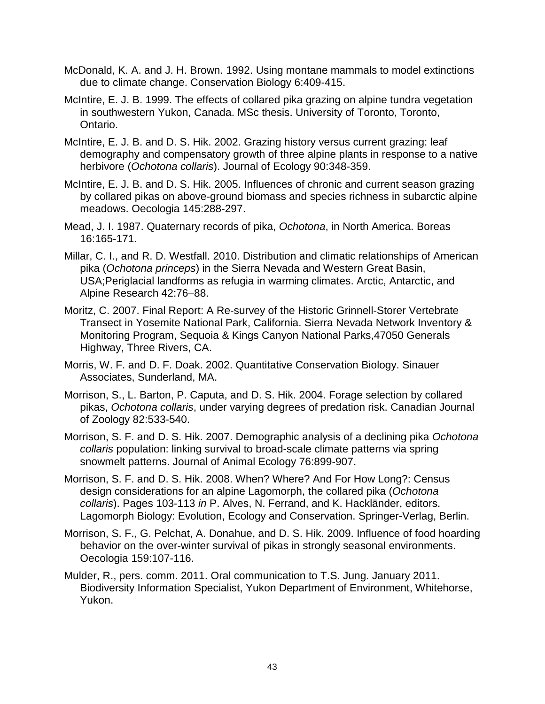- McDonald, K. A. and J. H. Brown. 1992. Using montane mammals to model extinctions due to climate change. Conservation Biology 6:409-415.
- McIntire, E. J. B. 1999. The effects of collared pika grazing on alpine tundra vegetation in southwestern Yukon, Canada. MSc thesis. University of Toronto, Toronto, Ontario.
- McIntire, E. J. B. and D. S. Hik. 2002. Grazing history versus current grazing: leaf demography and compensatory growth of three alpine plants in response to a native herbivore (*Ochotona collaris*). Journal of Ecology 90:348-359.
- McIntire, E. J. B. and D. S. Hik. 2005. Influences of chronic and current season grazing by collared pikas on above-ground biomass and species richness in subarctic alpine meadows. Oecologia 145:288-297.
- Mead, J. I. 1987. Quaternary records of pika, *Ochotona*, in North America. Boreas 16:165-171.
- Millar, C. I., and R. D. Westfall. 2010. Distribution and climatic relationships of American pika (*Ochotona princeps*) in the Sierra Nevada and Western Great Basin, USA;Periglacial landforms as refugia in warming climates. Arctic, Antarctic, and Alpine Research 42:76–88.
- Moritz, C. 2007. Final Report: A Re-survey of the Historic Grinnell-Storer Vertebrate Transect in Yosemite National Park, California. Sierra Nevada Network Inventory & Monitoring Program, Sequoia & Kings Canyon National Parks,47050 Generals Highway, Three Rivers, CA.
- Morris, W. F. and D. F. Doak. 2002. Quantitative Conservation Biology. Sinauer Associates, Sunderland, MA.
- Morrison, S., L. Barton, P. Caputa, and D. S. Hik. 2004. Forage selection by collared pikas, *Ochotona collaris*, under varying degrees of predation risk. Canadian Journal of Zoology 82:533-540.
- Morrison, S. F. and D. S. Hik. 2007. Demographic analysis of a declining pika *Ochotona collaris* population: linking survival to broad-scale climate patterns via spring snowmelt patterns. Journal of Animal Ecology 76:899-907.
- Morrison, S. F. and D. S. Hik. 2008. When? Where? And For How Long?: Census design considerations for an alpine Lagomorph, the collared pika (*Ochotona collaris*). Pages 103-113 *in* P. Alves, N. Ferrand, and K. Hackländer, editors. Lagomorph Biology: Evolution, Ecology and Conservation. Springer-Verlag, Berlin.
- Morrison, S. F., G. Pelchat, A. Donahue, and D. S. Hik. 2009. Influence of food hoarding behavior on the over-winter survival of pikas in strongly seasonal environments. Oecologia 159:107-116.
- Mulder, R., pers. comm. 2011. Oral communication to T.S. Jung. January 2011. Biodiversity Information Specialist, Yukon Department of Environment, Whitehorse, Yukon.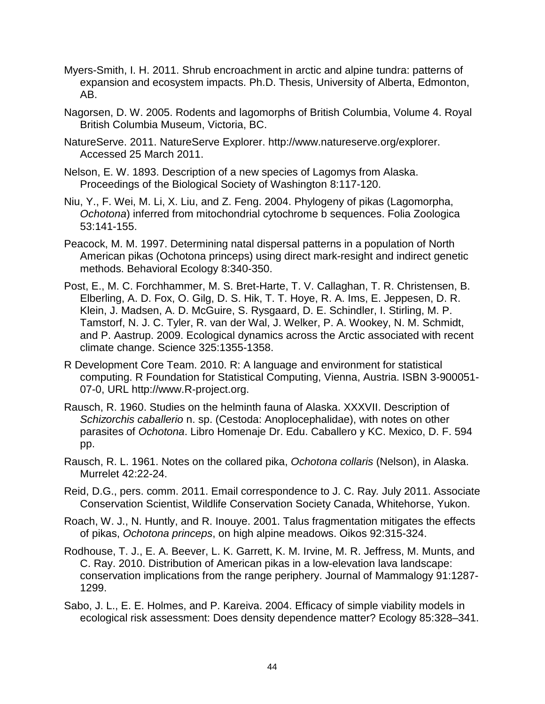- Myers-Smith, I. H. 2011. Shrub encroachment in arctic and alpine tundra: patterns of expansion and ecosystem impacts. Ph.D. Thesis, University of Alberta, Edmonton, AB.
- Nagorsen, D. W. 2005. Rodents and lagomorphs of British Columbia, Volume 4. Royal British Columbia Museum, Victoria, BC.
- NatureServe. 2011. NatureServe Explorer. http://www.natureserve.org/explorer. Accessed 25 March 2011.
- Nelson, E. W. 1893. Description of a new species of Lagomys from Alaska. Proceedings of the Biological Society of Washington 8:117-120.
- Niu, Y., F. Wei, M. Li, X. Liu, and Z. Feng. 2004. Phylogeny of pikas (Lagomorpha, *Ochotona*) inferred from mitochondrial cytochrome b sequences. Folia Zoologica 53:141-155.
- Peacock, M. M. 1997. Determining natal dispersal patterns in a population of North American pikas (Ochotona princeps) using direct mark-resight and indirect genetic methods. Behavioral Ecology 8:340-350.
- Post, E., M. C. Forchhammer, M. S. Bret-Harte, T. V. Callaghan, T. R. Christensen, B. Elberling, A. D. Fox, O. Gilg, D. S. Hik, T. T. Hoye, R. A. Ims, E. Jeppesen, D. R. Klein, J. Madsen, A. D. McGuire, S. Rysgaard, D. E. Schindler, I. Stirling, M. P. Tamstorf, N. J. C. Tyler, R. van der Wal, J. Welker, P. A. Wookey, N. M. Schmidt, and P. Aastrup. 2009. Ecological dynamics across the Arctic associated with recent climate change. Science 325:1355-1358.
- R Development Core Team. 2010. R: A language and environment for statistical computing. R Foundation for Statistical Computing, Vienna, Austria. ISBN 3-900051- 07-0, URL http://www.R-project.org.
- Rausch, R. 1960. Studies on the helminth fauna of Alaska. XXXVII. Description of *Schizorchis caballerio* n. sp. (Cestoda: Anoplocephalidae), with notes on other parasites of *Ochotona*. Libro Homenaje Dr. Edu. Caballero y KC. Mexico, D. F. 594 pp.
- Rausch, R. L. 1961. Notes on the collared pika, *Ochotona collaris* (Nelson), in Alaska. Murrelet 42:22-24.
- Reid, D.G., pers. comm. 2011. Email correspondence to J. C. Ray *.* July 2011. Associate Conservation Scientist, Wildlife Conservation Society Canada, Whitehorse, Yukon.
- Roach, W. J., N. Huntly, and R. Inouye. 2001. Talus fragmentation mitigates the effects of pikas, *Ochotona princeps*, on high alpine meadows. Oikos 92:315-324.
- Rodhouse, T. J., E. A. Beever, L. K. Garrett, K. M. Irvine, M. R. Jeffress, M. Munts, and C. Ray. 2010. Distribution of American pikas in a low-elevation lava landscape: conservation implications from the range periphery. Journal of Mammalogy 91:1287- 1299.
- Sabo, J. L., E. E. Holmes, and P. Kareiva. 2004. Efficacy of simple viability models in ecological risk assessment: Does density dependence matter? Ecology 85:328–341.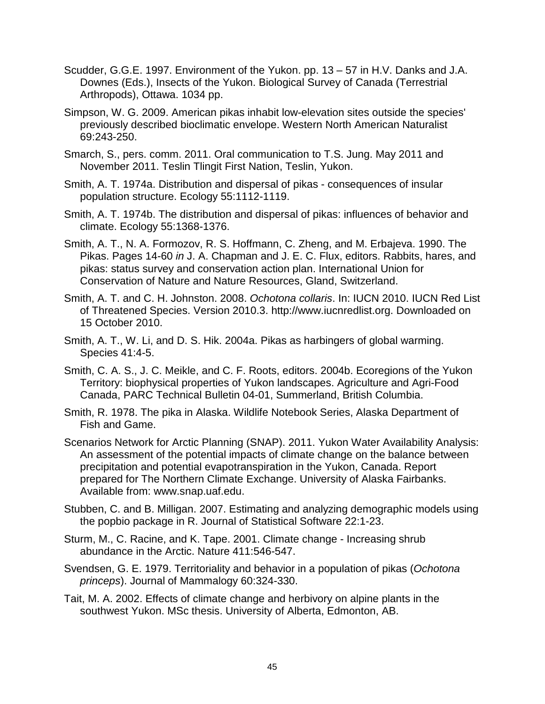- Scudder, G.G.E. 1997. Environment of the Yukon. pp. 13 57 in H.V. Danks and J.A. Downes (Eds.), Insects of the Yukon. Biological Survey of Canada (Terrestrial Arthropods), Ottawa. 1034 pp.
- Simpson, W. G. 2009. American pikas inhabit low-elevation sites outside the species' previously described bioclimatic envelope. Western North American Naturalist 69:243-250.
- Smarch, S., pers. comm. 2011. Oral communication to T.S. Jung. May 2011 and November 2011. Teslin Tlingit First Nation, Teslin, Yukon.
- Smith, A. T. 1974a. Distribution and dispersal of pikas consequences of insular population structure. Ecology 55:1112-1119.
- Smith, A. T. 1974b. The distribution and dispersal of pikas: influences of behavior and climate. Ecology 55:1368-1376.
- Smith, A. T., N. A. Formozov, R. S. Hoffmann, C. Zheng, and M. Erbajeva. 1990. The Pikas. Pages 14-60 *in* J. A. Chapman and J. E. C. Flux, editors. Rabbits, hares, and pikas: status survey and conservation action plan. International Union for Conservation of Nature and Nature Resources, Gland, Switzerland.
- Smith, A. T. and C. H. Johnston. 2008. *Ochotona collaris*. In: IUCN 2010. IUCN Red List of Threatened Species. Version 2010.3. http://www.iucnredlist.org. Downloaded on 15 October 2010.
- Smith, A. T., W. Li, and D. S. Hik. 2004a. Pikas as harbingers of global warming. Species 41:4-5.
- Smith, C. A. S., J. C. Meikle, and C. F. Roots, editors. 2004b. Ecoregions of the Yukon Territory: biophysical properties of Yukon landscapes. Agriculture and Agri-Food Canada, PARC Technical Bulletin 04-01, Summerland, British Columbia.
- Smith, R. 1978. The pika in Alaska. Wildlife Notebook Series, Alaska Department of Fish and Game.
- Scenarios Network for Arctic Planning (SNAP). 2011. Yukon Water Availability Analysis: An assessment of the potential impacts of climate change on the balance between precipitation and potential evapotranspiration in the Yukon, Canada. Report prepared for The Northern Climate Exchange. University of Alaska Fairbanks. Available from: www.snap.uaf.edu.
- Stubben, C. and B. Milligan. 2007. Estimating and analyzing demographic models using the popbio package in R. Journal of Statistical Software 22:1-23.
- Sturm, M., C. Racine, and K. Tape. 2001. Climate change Increasing shrub abundance in the Arctic. Nature 411:546-547.
- Svendsen, G. E. 1979. Territoriality and behavior in a population of pikas (*Ochotona princeps*). Journal of Mammalogy 60:324-330.
- Tait, M. A. 2002. Effects of climate change and herbivory on alpine plants in the southwest Yukon. MSc thesis. University of Alberta, Edmonton, AB.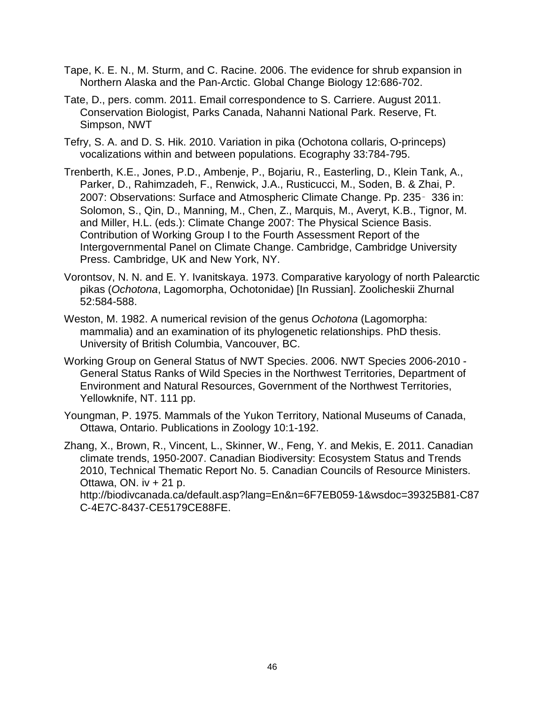- Tape, K. E. N., M. Sturm, and C. Racine. 2006. The evidence for shrub expansion in Northern Alaska and the Pan-Arctic. Global Change Biology 12:686-702.
- Tate, D., pers. comm. 2011. Email correspondence to S. Carriere. August 2011. Conservation Biologist, Parks Canada, Nahanni National Park. Reserve, Ft. Simpson, NWT
- Tefry, S. A. and D. S. Hik. 2010. Variation in pika (Ochotona collaris, O-princeps) vocalizations within and between populations. Ecography 33:784-795.
- Trenberth, K.E., Jones, P.D., Ambenje, P., Bojariu, R., Easterling, D., Klein Tank, A., Parker, D., Rahimzadeh, F., Renwick, J.A., Rusticucci, M., Soden, B. & Zhai, P. 2007: Observations: Surface and Atmospheric Climate Change. Pp. 235‑ 336 in: Solomon, S., Qin, D., Manning, M., Chen, Z., Marquis, M., Averyt, K.B., Tignor, M. and Miller, H.L. (eds.): Climate Change 2007: The Physical Science Basis. Contribution of Working Group I to the Fourth Assessment Report of the Intergovernmental Panel on Climate Change. Cambridge, Cambridge University Press. Cambridge, UK and New York, NY.
- Vorontsov, N. N. and E. Y. Ivanitskaya. 1973. Comparative karyology of north Palearctic pikas (*Ochotona*, Lagomorpha, Ochotonidae) [In Russian]. Zoolicheskii Zhurnal 52:584-588.
- Weston, M. 1982. A numerical revision of the genus *Ochotona* (Lagomorpha: mammalia) and an examination of its phylogenetic relationships. PhD thesis. University of British Columbia, Vancouver, BC.
- Working Group on General Status of NWT Species. 2006. NWT Species 2006-2010 General Status Ranks of Wild Species in the Northwest Territories, Department of Environment and Natural Resources, Government of the Northwest Territories, Yellowknife, NT. 111 pp.
- Youngman, P. 1975. Mammals of the Yukon Territory, National Museums of Canada, Ottawa, Ontario. Publications in Zoology 10:1-192.
- Zhang, X., Brown, R., Vincent, L., Skinner, W., Feng, Y. and Mekis, E. 2011. Canadian climate trends, 1950‐2007. Canadian Biodiversity: Ecosystem Status and Trends 2010, Technical Thematic Report No. 5. Canadian Councils of Resource Ministers. Ottawa, ON. iv  $+21$  p.

http://biodivcanada.ca/default.asp?lang=En&n=6F7EB059‐1&wsdoc=39325B81‐C87 C‐4E7C‐8437‐CE5179CE88FE.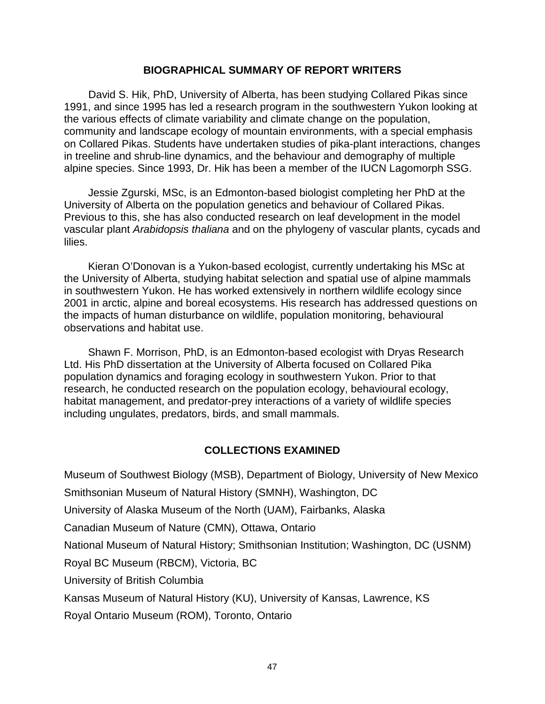## **BIOGRAPHICAL SUMMARY OF REPORT WRITERS**

<span id="page-56-0"></span>David S. Hik, PhD, University of Alberta, has been studying Collared Pikas since 1991, and since 1995 has led a research program in the southwestern Yukon looking at the various effects of climate variability and climate change on the population, community and landscape ecology of mountain environments, with a special emphasis on Collared Pikas. Students have undertaken studies of pika-plant interactions, changes in treeline and shrub-line dynamics, and the behaviour and demography of multiple alpine species. Since 1993, Dr. Hik has been a member of the IUCN Lagomorph SSG.

Jessie Zgurski, MSc, is an Edmonton-based biologist completing her PhD at the University of Alberta on the population genetics and behaviour of Collared Pikas. Previous to this, she has also conducted research on leaf development in the model vascular plant *Arabidopsis thaliana* and on the phylogeny of vascular plants, cycads and lilies.

Kieran O'Donovan is a Yukon-based ecologist, currently undertaking his MSc at the University of Alberta, studying habitat selection and spatial use of alpine mammals in southwestern Yukon. He has worked extensively in northern wildlife ecology since 2001 in arctic, alpine and boreal ecosystems. His research has addressed questions on the impacts of human disturbance on wildlife, population monitoring, behavioural observations and habitat use.

Shawn F. Morrison, PhD, is an Edmonton-based ecologist with Dryas Research Ltd. His PhD dissertation at the University of Alberta focused on Collared Pika population dynamics and foraging ecology in southwestern Yukon. Prior to that research, he conducted research on the population ecology, behavioural ecology, habitat management, and predator-prey interactions of a variety of wildlife species including ungulates, predators, birds, and small mammals.

# **COLLECTIONS EXAMINED**

<span id="page-56-1"></span>Museum of Southwest Biology (MSB), Department of Biology, University of New Mexico

Smithsonian Museum of Natural History (SMNH), Washington, DC

University of Alaska Museum of the North (UAM), Fairbanks, Alaska

Canadian Museum of Nature (CMN), Ottawa, Ontario

National Museum of Natural History; Smithsonian Institution; Washington, DC ( USNM)

Royal BC Museum (RBCM), Victoria, BC

University of British Columbia

Kansas Museum of Natural History (KU), University of Kansas, Lawrence, KS

Royal Ontario Museum (ROM), Toronto, Ontario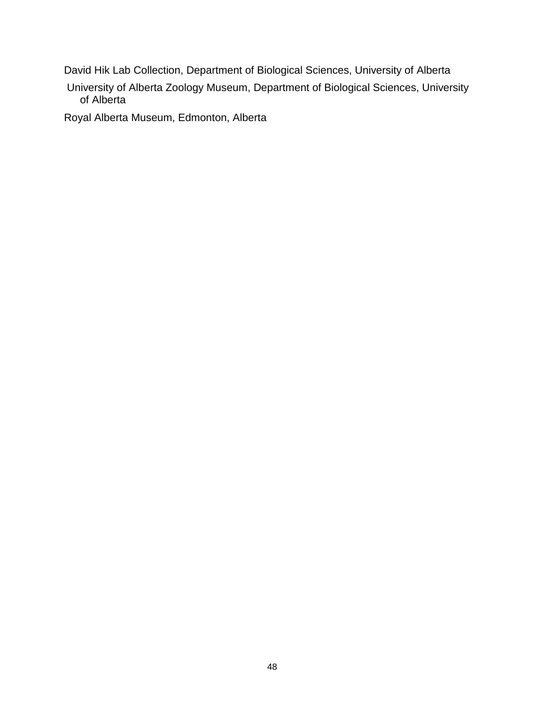David Hik Lab Collection, Department of Biological Sciences, University of Alberta

University of Alberta Zoology Museum, Department of Biological Sciences, University of Alberta

Royal Alberta Museum, Edmonton, Alberta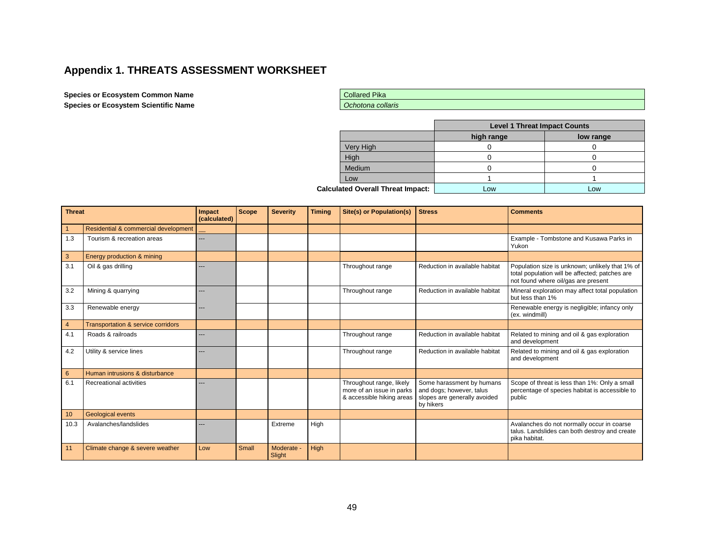# **Appendix 1. THREATS ASSESSMENT WORKSHEET**

#### **Species or Ecosystem Common Name Species or Ecosystem Scientific Name**

| <b>Collared Pika</b> |
|----------------------|
| Ochotona collaris    |

|                                          |           | <b>Level 1 Threat Impact Counts</b> |           |  |  |  |
|------------------------------------------|-----------|-------------------------------------|-----------|--|--|--|
|                                          |           | high range                          | low range |  |  |  |
|                                          | Very High |                                     |           |  |  |  |
|                                          | High      |                                     |           |  |  |  |
|                                          | Medium    |                                     |           |  |  |  |
|                                          | Low       |                                     |           |  |  |  |
| <b>Calculated Overall Threat Impact:</b> |           | Low                                 | Low       |  |  |  |

<span id="page-58-0"></span>

| <b>Threat</b>  |                                               | Impact<br>(calculated) | <b>Scope</b> | <b>Severity</b>      | <b>Timing</b> | <b>Site(s) or Population(s)</b>                                                    | <b>Stress</b>                                                                                      | <b>Comments</b>                                                                                                                          |
|----------------|-----------------------------------------------|------------------------|--------------|----------------------|---------------|------------------------------------------------------------------------------------|----------------------------------------------------------------------------------------------------|------------------------------------------------------------------------------------------------------------------------------------------|
|                | Residential & commercial development          |                        |              |                      |               |                                                                                    |                                                                                                    |                                                                                                                                          |
| 1.3            | Tourism & recreation areas                    |                        |              |                      |               |                                                                                    |                                                                                                    | Example - Tombstone and Kusawa Parks in<br>Yukon                                                                                         |
| 3              | Energy production & mining                    |                        |              |                      |               |                                                                                    |                                                                                                    |                                                                                                                                          |
| 3.1            | Oil & gas drilling                            |                        |              |                      |               | Throughout range                                                                   | Reduction in available habitat                                                                     | Population size is unknown; unlikely that 1% of<br>total population will be affected; patches are<br>not found where oil/gas are present |
| 3.2            | Mining & quarrying                            |                        |              |                      |               | Throughout range                                                                   | Reduction in available habitat                                                                     | Mineral exploration may affect total population<br>but less than 1%                                                                      |
| 3.3            | Renewable energy                              |                        |              |                      |               |                                                                                    |                                                                                                    | Renewable energy is negligible; infancy only<br>(ex. windmill)                                                                           |
| $\overline{4}$ | <b>Transportation &amp; service corridors</b> |                        |              |                      |               |                                                                                    |                                                                                                    |                                                                                                                                          |
| 4.1            | Roads & railroads                             | ---                    |              |                      |               | Throughout range                                                                   | Reduction in available habitat                                                                     | Related to mining and oil & gas exploration<br>and development                                                                           |
| 4.2            | Utility & service lines                       |                        |              |                      |               | Throughout range                                                                   | Reduction in available habitat                                                                     | Related to mining and oil & gas exploration<br>and development                                                                           |
| $6^{\circ}$    | Human intrusions & disturbance                |                        |              |                      |               |                                                                                    |                                                                                                    |                                                                                                                                          |
| 6.1            | Recreational activities                       |                        |              |                      |               | Throughout range, likely<br>more of an issue in parks<br>& accessible hiking areas | Some harassment by humans<br>and dogs; however, talus<br>slopes are generally avoided<br>by hikers | Scope of threat is less than 1%: Only a small<br>percentage of species habitat is accessible to<br>public                                |
| 10             | <b>Geological events</b>                      |                        |              |                      |               |                                                                                    |                                                                                                    |                                                                                                                                          |
| 10.3           | Avalanches/landslides                         | ---                    |              | Extreme              | High          |                                                                                    |                                                                                                    | Avalanches do not normally occur in coarse<br>talus. Landslides can both destroy and create<br>pika habitat.                             |
| 11             | Climate change & severe weather               | Low                    | Small        | Moderate -<br>Slight | High          |                                                                                    |                                                                                                    |                                                                                                                                          |